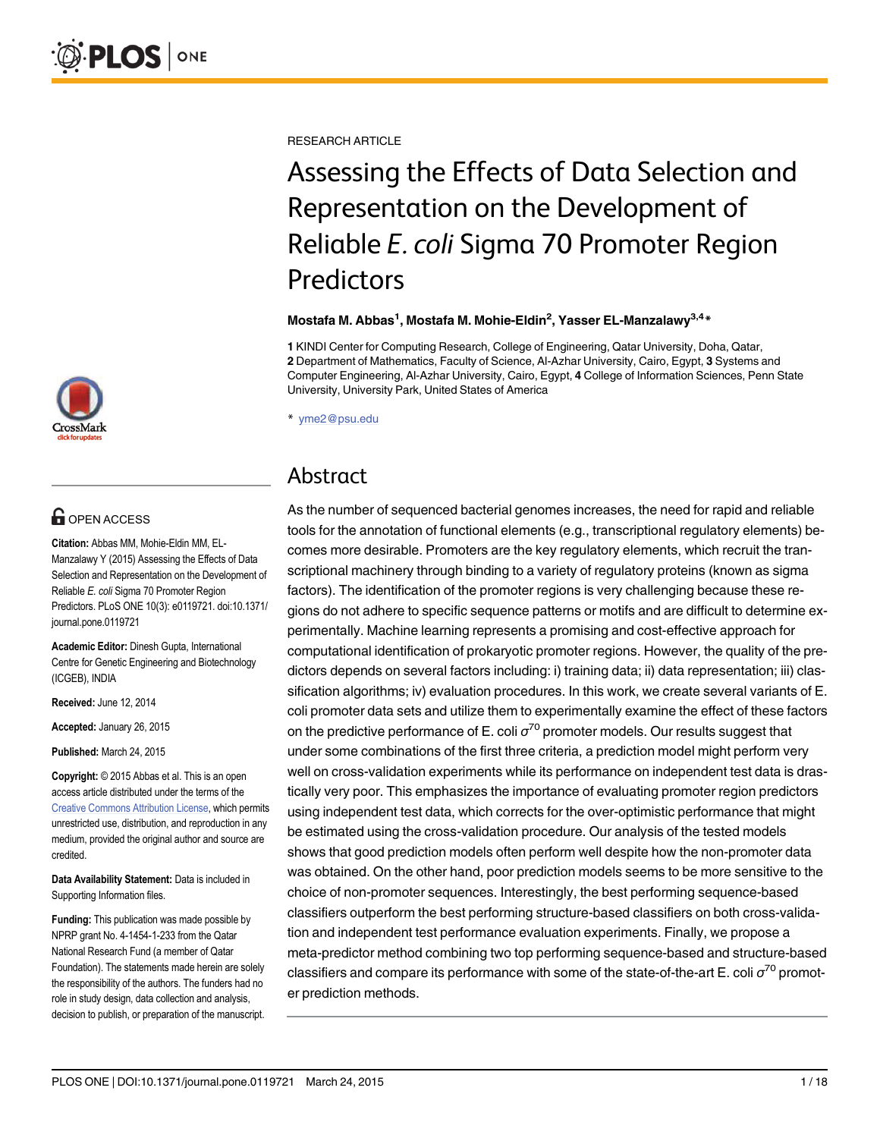[a11111](http://crossmark.crossref.org/dialog/?doi=10.1371/journal.pone.0119721&domain=pdf)

## **OPEN ACCESS**

Citation: Abbas MM, Mohie-Eldin MM, EL-Manzalawy Y (2015) Assessing the Effects of Data Selection and Representation on the Development of Reliable E. coli Sigma 70 Promoter Region Predictors. PLoS ONE 10(3): e0119721. doi:10.1371/ journal.pone.0119721

Academic Editor: Dinesh Gupta, International Centre for Genetic Engineering and Biotechnology (ICGEB), INDIA

Received: June 12, 2014

Accepted: January 26, 2015

Published: March 24, 2015

Copyright: © 2015 Abbas et al. This is an open access article distributed under the terms of the [Creative Commons Attribution License,](http://creativecommons.org/licenses/by/4.0/) which permits unrestricted use, distribution, and reproduction in any medium, provided the original author and source are credited.

Data Availability Statement: Data is included in Supporting Information files.

Funding: This publication was made possible by NPRP grant No. 4-1454-1-233 from the Qatar National Research Fund (a member of Qatar Foundation). The statements made herein are solely the responsibility of the authors. The funders had no role in study design, data collection and analysis, decision to publish, or preparation of the manuscript. RESEARCH ARTICLE

# Assessing the Effects of Data Selection and Representation on the Development of Reliable E. coli Sigma 70 Promoter Region Predictors

#### Mostafa M. Abbas<sup>1</sup>, Mostafa M. Mohie-Eldin<sup>2</sup>, Yasser EL-Manzalawy<sup>3,4</sup>\*

1 KINDI Center for Computing Research, College of Engineering, Qatar University, Doha, Qatar, 2 Department of Mathematics, Faculty of Science, Al-Azhar University, Cairo, Egypt, 3 Systems and Computer Engineering, Al-Azhar University, Cairo, Egypt, 4 College of Information Sciences, Penn State University, University Park, United States of America

\* yme2@psu.edu

### Abstract

As the number of sequenced bacterial genomes increases, the need for rapid and reliable tools for the annotation of functional elements (e.g., transcriptional regulatory elements) becomes more desirable. Promoters are the key regulatory elements, which recruit the transcriptional machinery through binding to a variety of regulatory proteins (known as sigma factors). The identification of the promoter regions is very challenging because these regions do not adhere to specific sequence patterns or motifs and are difficult to determine experimentally. Machine learning represents a promising and cost-effective approach for computational identification of prokaryotic promoter regions. However, the quality of the predictors depends on several factors including: i) training data; ii) data representation; iii) classification algorithms; iv) evaluation procedures. In this work, we create several variants of E. coli promoter data sets and utilize them to experimentally examine the effect of these factors on the predictive performance of E. coli  $\sigma^{70}$  promoter models. Our results suggest that under some combinations of the first three criteria, a prediction model might perform very well on cross-validation experiments while its performance on independent test data is drastically very poor. This emphasizes the importance of evaluating promoter region predictors using independent test data, which corrects for the over-optimistic performance that might be estimated using the cross-validation procedure. Our analysis of the tested models shows that good prediction models often perform well despite how the non-promoter data was obtained. On the other hand, poor prediction models seems to be more sensitive to the choice of non-promoter sequences. Interestingly, the best performing sequence-based classifiers outperform the best performing structure-based classifiers on both cross-validation and independent test performance evaluation experiments. Finally, we propose a meta-predictor method combining two top performing sequence-based and structure-based classifiers and compare its performance with some of the state-of-the-art E. coli  $\sigma^{70}$  promoter prediction methods.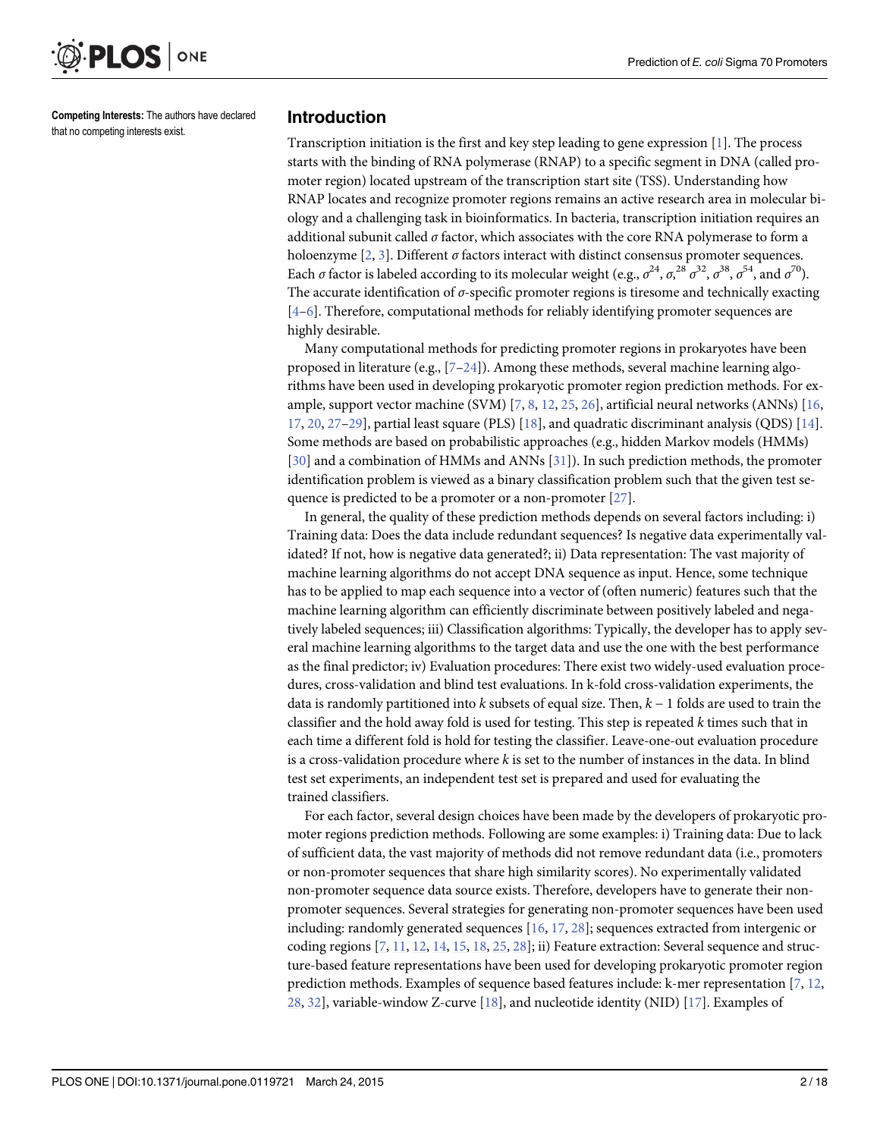<span id="page-1-0"></span>

Competing Interests: The authors have declared that no competing interests exist.

#### Introduction

Transcription initiation is the first and key step leading to gene expression [\[1](#page-15-0)]. The process starts with the binding of RNA polymerase (RNAP) to a specific segment in DNA (called promoter region) located upstream of the transcription start site (TSS). Understanding how RNAP locates and recognize promoter regions remains an active research area in molecular biology and a challenging task in bioinformatics. In bacteria, transcription initiation requires an additional subunit called  $\sigma$  factor, which associates with the core RNA polymerase to form a holoenzyme  $[2, 3]$  $[2, 3]$  $[2, 3]$  $[2, 3]$ . Different  $\sigma$  factors interact with distinct consensus promoter sequences. Each  $\sigma$  factor is labeled according to its molecular weight (e.g.,  $\sigma^{24}$ ,  $\sigma^{28}$ ,  $\sigma^{38}$ ,  $\sigma^{54}$ , and  $\sigma^{70}$ ). The accurate identification of  $\sigma$ -specific promoter regions is tiresome and technically exacting  $[4-6]$  $[4-6]$  $[4-6]$  $[4-6]$ . Therefore, computational methods for reliably identifying promoter sequences are highly desirable.

Many computational methods for predicting promoter regions in prokaryotes have been proposed in literature (e.g.,  $[7-24]$  $[7-24]$  $[7-24]$  $[7-24]$  $[7-24]$ ). Among these methods, several machine learning algorithms have been used in developing prokaryotic promoter region prediction methods. For example, support vector machine (SVM) [\[7](#page-15-0), [8](#page-15-0), [12](#page-15-0), [25](#page-16-0), [26](#page-16-0)], artificial neural networks (ANNs) [\[16,](#page-15-0) [17,](#page-15-0) [20,](#page-16-0) [27](#page-16-0)–[29](#page-16-0)], partial least square (PLS) [\[18](#page-15-0)], and quadratic discriminant analysis (QDS) [\[14](#page-15-0)]. Some methods are based on probabilistic approaches (e.g., hidden Markov models (HMMs) [\[30](#page-16-0)] and a combination of HMMs and ANNs [[31\]](#page-16-0)). In such prediction methods, the promoter identification problem is viewed as a binary classification problem such that the given test sequence is predicted to be a promoter or a non-promoter  $[27]$ .

In general, the quality of these prediction methods depends on several factors including: i) Training data: Does the data include redundant sequences? Is negative data experimentally validated? If not, how is negative data generated?; ii) Data representation: The vast majority of machine learning algorithms do not accept DNA sequence as input. Hence, some technique has to be applied to map each sequence into a vector of (often numeric) features such that the machine learning algorithm can efficiently discriminate between positively labeled and negatively labeled sequences; iii) Classification algorithms: Typically, the developer has to apply several machine learning algorithms to the target data and use the one with the best performance as the final predictor; iv) Evaluation procedures: There exist two widely-used evaluation procedures, cross-validation and blind test evaluations. In k-fold cross-validation experiments, the data is randomly partitioned into k subsets of equal size. Then,  $k - 1$  folds are used to train the classifier and the hold away fold is used for testing. This step is repeated  $k$  times such that in each time a different fold is hold for testing the classifier. Leave-one-out evaluation procedure is a cross-validation procedure where  $k$  is set to the number of instances in the data. In blind test set experiments, an independent test set is prepared and used for evaluating the trained classifiers.

For each factor, several design choices have been made by the developers of prokaryotic promoter regions prediction methods. Following are some examples: i) Training data: Due to lack of sufficient data, the vast majority of methods did not remove redundant data (i.e., promoters or non-promoter sequences that share high similarity scores). No experimentally validated non-promoter sequence data source exists. Therefore, developers have to generate their nonpromoter sequences. Several strategies for generating non-promoter sequences have been used including: randomly generated sequences [[16](#page-15-0), [17](#page-15-0), [28](#page-16-0)]; sequences extracted from intergenic or coding regions [[7,](#page-15-0) [11,](#page-15-0) [12,](#page-15-0) [14,](#page-15-0) [15,](#page-15-0) [18,](#page-15-0) [25,](#page-16-0) [28\]](#page-16-0); ii) Feature extraction: Several sequence and structure-based feature representations have been used for developing prokaryotic promoter region prediction methods. Examples of sequence based features include: k-mer representation [[7](#page-15-0), [12](#page-15-0),  $28$ ,  $32$ ], variable-window Z-curve [\[18\]](#page-15-0), and nucleotide identity (NID) [[17](#page-15-0)]. Examples of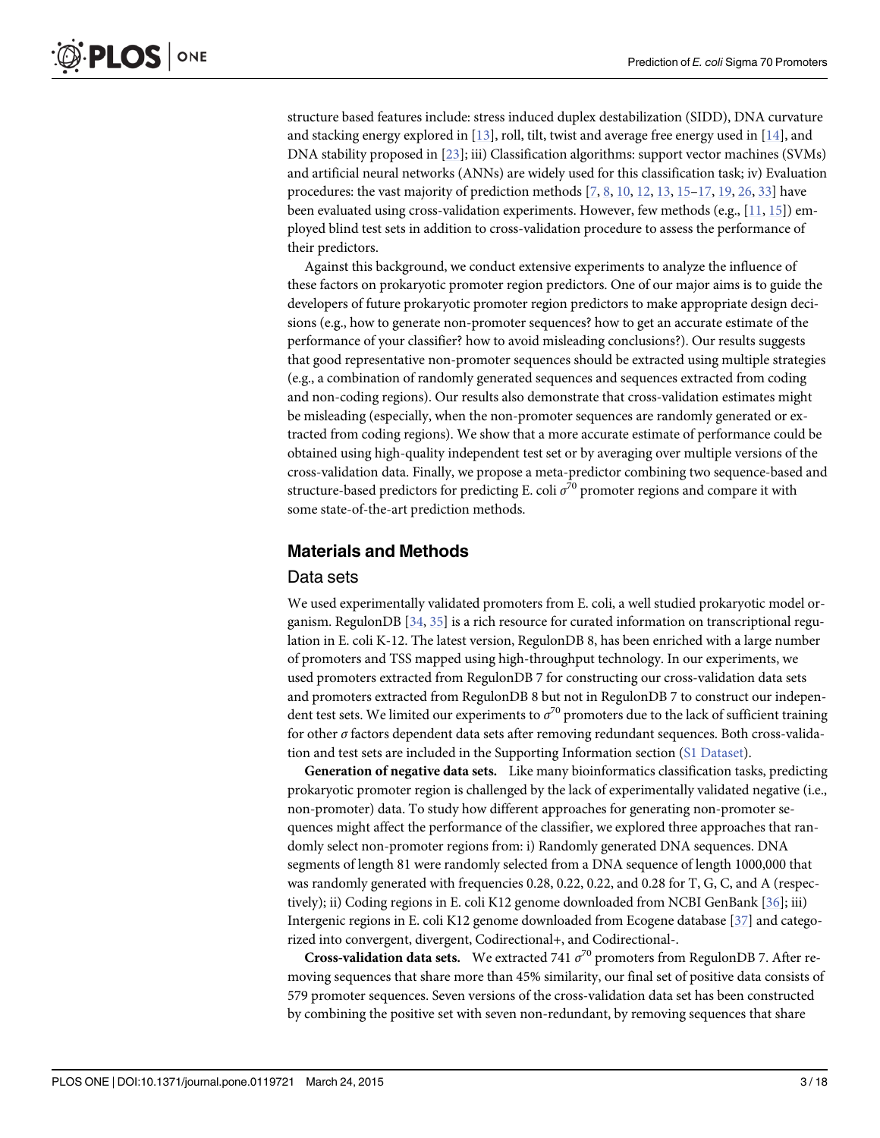<span id="page-2-0"></span>structure based features include: stress induced duplex destabilization (SIDD), DNA curvature and stacking energy explored in  $[13]$  $[13]$ , roll, tilt, twist and average free energy used in  $[14]$ , and DNA stability proposed in [\[23\]](#page-16-0); iii) Classification algorithms: support vector machines (SVMs) and artificial neural networks (ANNs) are widely used for this classification task; iv) Evaluation procedures: the vast majority of prediction methods  $[7, 8, 10, 12, 13, 15-17, 19, 26, 33]$  $[7, 8, 10, 12, 13, 15-17, 19, 26, 33]$  $[7, 8, 10, 12, 13, 15-17, 19, 26, 33]$  $[7, 8, 10, 12, 13, 15-17, 19, 26, 33]$  $[7, 8, 10, 12, 13, 15-17, 19, 26, 33]$  $[7, 8, 10, 12, 13, 15-17, 19, 26, 33]$  $[7, 8, 10, 12, 13, 15-17, 19, 26, 33]$  $[7, 8, 10, 12, 13, 15-17, 19, 26, 33]$  $[7, 8, 10, 12, 13, 15-17, 19, 26, 33]$  $[7, 8, 10, 12, 13, 15-17, 19, 26, 33]$  $[7, 8, 10, 12, 13, 15-17, 19, 26, 33]$  $[7, 8, 10, 12, 13, 15-17, 19, 26, 33]$  $[7, 8, 10, 12, 13, 15-17, 19, 26, 33]$  $[7, 8, 10, 12, 13, 15-17, 19, 26, 33]$  $[7, 8, 10, 12, 13, 15-17, 19, 26, 33]$  $[7, 8, 10, 12, 13, 15-17, 19, 26, 33]$  $[7, 8, 10, 12, 13, 15-17, 19, 26, 33]$  $[7, 8, 10, 12, 13, 15-17, 19, 26, 33]$  $[7, 8, 10, 12, 13, 15-17, 19, 26, 33]$  $[7, 8, 10, 12, 13, 15-17, 19, 26, 33]$  $[7, 8, 10, 12, 13, 15-17, 19, 26, 33]$  have been evaluated using cross-validation experiments. However, few methods (e.g.,  $[11, 15]$  $[11, 15]$  $[11, 15]$  $[11, 15]$  $[11, 15]$ ) employed blind test sets in addition to cross-validation procedure to assess the performance of their predictors.

Against this background, we conduct extensive experiments to analyze the influence of these factors on prokaryotic promoter region predictors. One of our major aims is to guide the developers of future prokaryotic promoter region predictors to make appropriate design decisions (e.g., how to generate non-promoter sequences? how to get an accurate estimate of the performance of your classifier? how to avoid misleading conclusions?). Our results suggests that good representative non-promoter sequences should be extracted using multiple strategies (e.g., a combination of randomly generated sequences and sequences extracted from coding and non-coding regions). Our results also demonstrate that cross-validation estimates might be misleading (especially, when the non-promoter sequences are randomly generated or extracted from coding regions). We show that a more accurate estimate of performance could be obtained using high-quality independent test set or by averaging over multiple versions of the cross-validation data. Finally, we propose a meta-predictor combining two sequence-based and structure-based predictors for predicting E. coli  $\sigma^{70}$  promoter regions and compare it with some state-of-the-art prediction methods.

#### [Materials and Methods](#page-7-0)

#### Data sets

We used experimentally validated promoters from E. coli, a well studied prokaryotic model organism. RegulonDB  $[34, 35]$  $[34, 35]$  $[34, 35]$  $[34, 35]$  is a rich resource for curated information on transcriptional regulation in E. coli K-12. The latest version, RegulonDB 8, has been enriched with a large number of promoters and TSS mapped using high-throughput technology. In our experiments, we used promoters extracted from RegulonDB 7 for constructing our cross-validation data sets and promoters extracted from RegulonDB 8 but not in RegulonDB 7 to construct our independent test sets. We limited our experiments to  $\sigma^{70}$  promoters due to the lack of sufficient training for other σ factors dependent data sets after removing redundant sequences. Both cross-validation and test sets are included in the Supporting Information section ([S1 Dataset](#page-14-0)).

Generation of negative data sets. Like many bioinformatics classification tasks, predicting prokaryotic promoter region is challenged by the lack of experimentally validated negative (i.e., non-promoter) data. To study how different approaches for generating non-promoter sequences might affect the performance of the classifier, we explored three approaches that randomly select non-promoter regions from: i) Randomly generated DNA sequences. DNA segments of length 81 were randomly selected from a DNA sequence of length 1000,000 that was randomly generated with frequencies 0.28, 0.22, 0.22, and 0.28 for T, G, C, and A (respec-tively); ii) Coding regions in E. coli K12 genome downloaded from NCBI GenBank [\[36\]](#page-16-0); iii) Intergenic regions in E. coli K12 genome downloaded from Ecogene database [\[37\]](#page-16-0) and categorized into convergent, divergent, Codirectional+, and Codirectional-.

**Cross-validation data sets.** We extracted 741  $\sigma^{70}$  promoters from RegulonDB 7. After removing sequences that share more than 45% similarity, our final set of positive data consists of 579 promoter sequences. Seven versions of the cross-validation data set has been constructed by combining the positive set with seven non-redundant, by removing sequences that share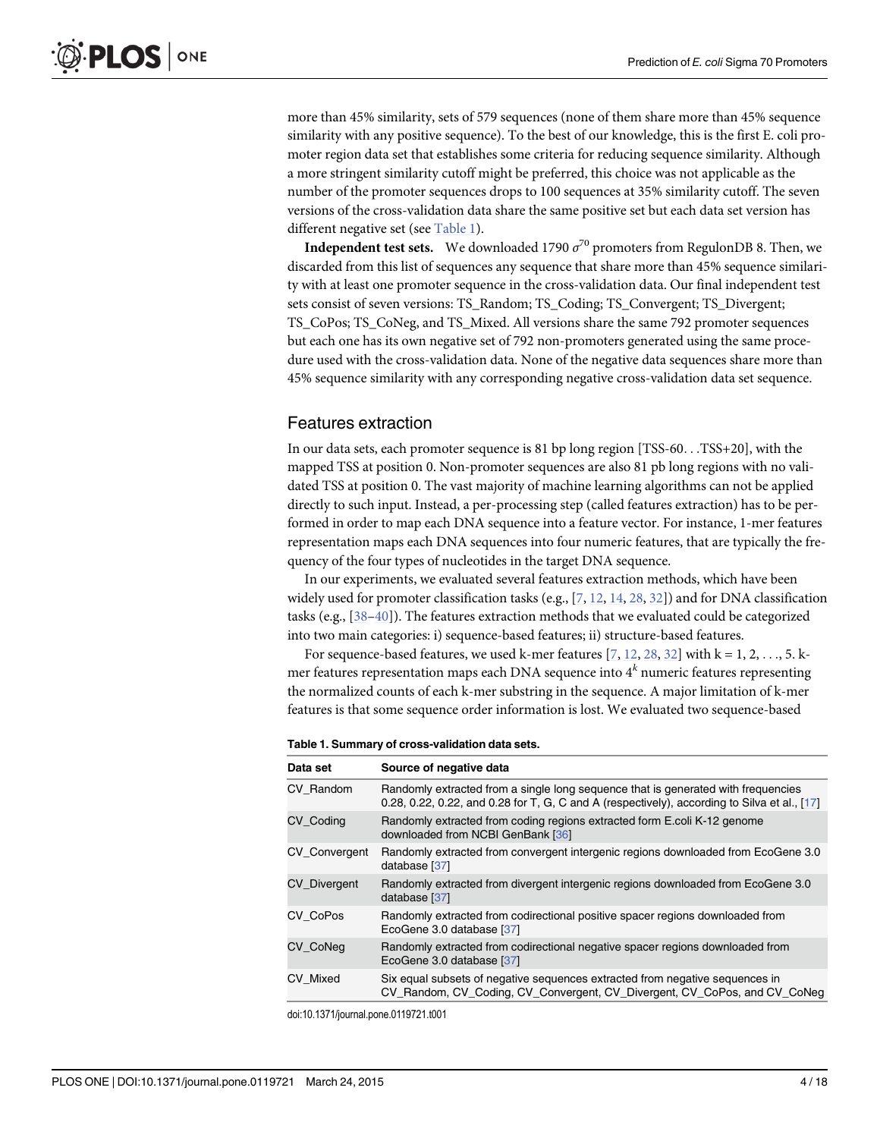<span id="page-3-0"></span>more than 45% similarity, sets of 579 sequences (none of them share more than 45% sequence similarity with any positive sequence). To the best of our knowledge, this is the first E. coli promoter region data set that establishes some criteria for reducing sequence similarity. Although a more stringent similarity cutoff might be preferred, this choice was not applicable as the number of the promoter sequences drops to 100 sequences at 35% similarity cutoff. The seven versions of the cross-validation data share the same positive set but each data set version has different negative set (see Table 1).

**Independent test sets.** We downloaded 1790  $\sigma^{70}$  promoters from RegulonDB 8. Then, we discarded from this list of sequences any sequence that share more than 45% sequence similarity with at least one promoter sequence in the cross-validation data. Our final independent test sets consist of seven versions: TS\_Random; TS\_Coding; TS\_Convergent; TS\_Divergent; TS\_CoPos; TS\_CoNeg, and TS\_Mixed. All versions share the same 792 promoter sequences but each one has its own negative set of 792 non-promoters generated using the same procedure used with the cross-validation data. None of the negative data sequences share more than 45% sequence similarity with any corresponding negative cross-validation data set sequence.

#### Features extraction

In our data sets, each promoter sequence is 81 bp long region [TSS-60...TSS+20], with the mapped TSS at position 0. Non-promoter sequences are also 81 pb long regions with no validated TSS at position 0. The vast majority of machine learning algorithms can not be applied directly to such input. Instead, a per-processing step (called features extraction) has to be performed in order to map each DNA sequence into a feature vector. For instance, 1-mer features representation maps each DNA sequences into four numeric features, that are typically the frequency of the four types of nucleotides in the target DNA sequence.

In our experiments, we evaluated several features extraction methods, which have been widely used for promoter classification tasks (e.g.,  $[7, 12, 14, 28, 32]$  $[7, 12, 14, 28, 32]$  $[7, 12, 14, 28, 32]$  $[7, 12, 14, 28, 32]$  $[7, 12, 14, 28, 32]$  $[7, 12, 14, 28, 32]$  $[7, 12, 14, 28, 32]$  $[7, 12, 14, 28, 32]$  $[7, 12, 14, 28, 32]$  $[7, 12, 14, 28, 32]$ ) and for DNA classification tasks (e.g.,  $[38-40]$  $[38-40]$  $[38-40]$  $[38-40]$ ). The features extraction methods that we evaluated could be categorized into two main categories: i) sequence-based features; ii) structure-based features.

For sequence-based features, we used k-mer features  $[7, 12, 28, 32]$  $[7, 12, 28, 32]$  $[7, 12, 28, 32]$  $[7, 12, 28, 32]$  $[7, 12, 28, 32]$  $[7, 12, 28, 32]$  $[7, 12, 28, 32]$  $[7, 12, 28, 32]$  with  $k = 1, 2, ..., 5$ . mer features representation maps each DNA sequence into  $4^k$  numeric features representing the normalized counts of each k-mer substring in the sequence. A major limitation of k-mer features is that some sequence order information is lost. We evaluated two sequence-based

#### Table 1. Summary of cross-validation data sets.

| Data set            | Source of negative data                                                                                                                                                             |
|---------------------|-------------------------------------------------------------------------------------------------------------------------------------------------------------------------------------|
| CV Random           | Randomly extracted from a single long sequence that is generated with frequencies<br>0.28, 0.22, 0.22, and 0.28 for T, G, C and A (respectively), according to Silva et al., $[17]$ |
| CV Coding           | Randomly extracted from coding regions extracted form E.coli K-12 genome<br>downloaded from NCBI GenBank [36]                                                                       |
| CV_Convergent       | Randomly extracted from convergent intergenic regions downloaded from EcoGene 3.0<br>database [37]                                                                                  |
| <b>CV Divergent</b> | Randomly extracted from divergent intergenic regions downloaded from EcoGene 3.0<br>database [37]                                                                                   |
| CV CoPos            | Randomly extracted from codirectional positive spacer regions downloaded from<br>EcoGene 3.0 database [37]                                                                          |
| CV CoNeg            | Randomly extracted from codirectional negative spacer regions downloaded from<br>EcoGene 3.0 database [37]                                                                          |
| CV Mixed            | Six equal subsets of negative sequences extracted from negative sequences in<br>CV_Random, CV_Coding, CV_Convergent, CV_Divergent, CV_CoPos, and CV_CoNeg                           |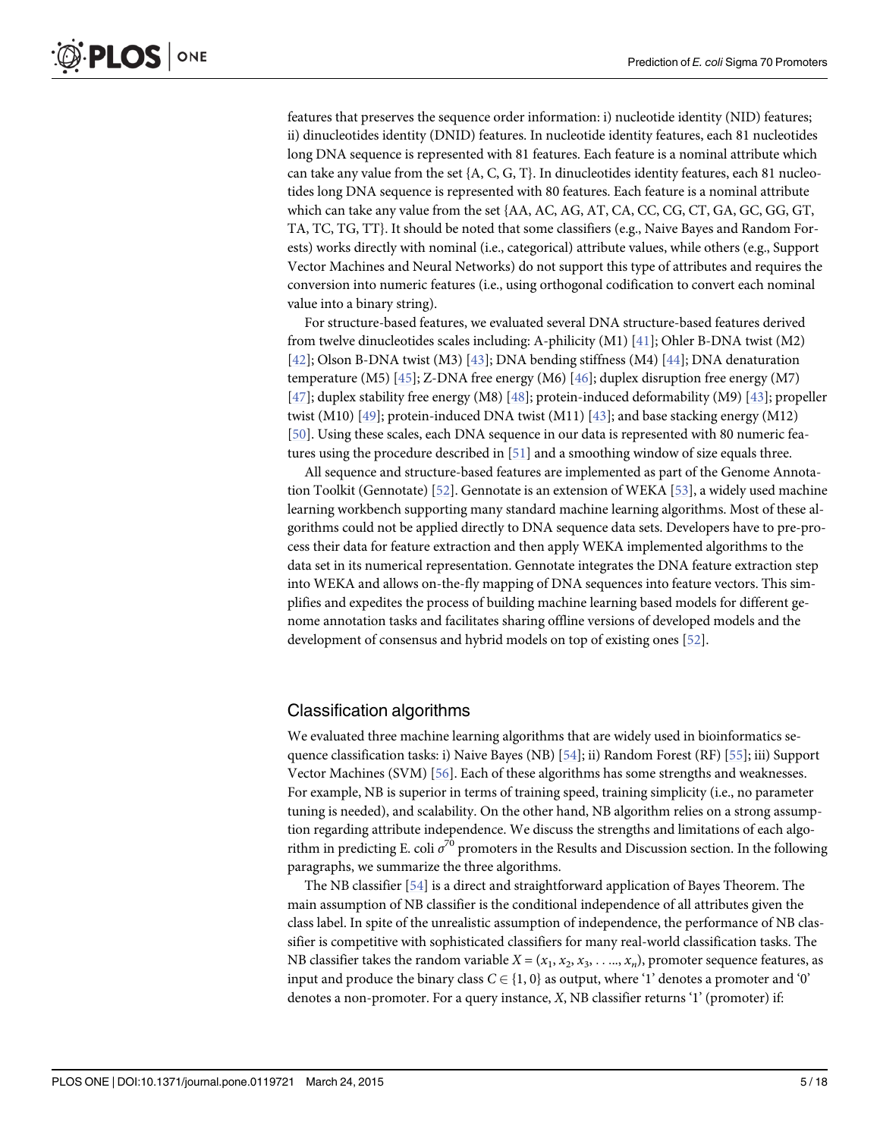<span id="page-4-0"></span>features that preserves the sequence order information: i) nucleotide identity (NID) features; ii) dinucleotides identity (DNID) features. In nucleotide identity features, each 81 nucleotides long DNA sequence is represented with 81 features. Each feature is a nominal attribute which can take any value from the set {A, C, G, T}. In dinucleotides identity features, each 81 nucleotides long DNA sequence is represented with 80 features. Each feature is a nominal attribute which can take any value from the set {AA, AC, AG, AT, CA, CC, CG, CT, GA, GC, GG, GT, TA, TC, TG, TT}. It should be noted that some classifiers (e.g., Naive Bayes and Random Forests) works directly with nominal (i.e., categorical) attribute values, while others (e.g., Support Vector Machines and Neural Networks) do not support this type of attributes and requires the conversion into numeric features (i.e., using orthogonal codification to convert each nominal value into a binary string).

For structure-based features, we evaluated several DNA structure-based features derived from twelve dinucleotides scales including: A-philicity (M1) [[41](#page-16-0)]; Ohler B-DNA twist (M2) [\[42](#page-16-0)]; Olson B-DNA twist (M3) [[43](#page-17-0)]; DNA bending stiffness (M4) [[44](#page-17-0)]; DNA denaturation temperature (M5) [ $45$ ]; Z-DNA free energy (M6) [ $46$ ]; duplex disruption free energy (M7) [\[47](#page-17-0)]; duplex stability free energy (M8) [[48](#page-17-0)]; protein-induced deformability (M9) [\[43\]](#page-17-0); propeller twist (M10)  $[49]$ ; protein-induced DNA twist (M11)  $[43]$  $[43]$  $[43]$ ; and base stacking energy (M12) [\[50](#page-17-0)]. Using these scales, each DNA sequence in our data is represented with 80 numeric features using the procedure described in [[51](#page-17-0)] and a smoothing window of size equals three.

All sequence and structure-based features are implemented as part of the Genome Annotation Toolkit (Gennotate) [[52](#page-17-0)]. Gennotate is an extension of WEKA [[53](#page-17-0)], a widely used machine learning workbench supporting many standard machine learning algorithms. Most of these algorithms could not be applied directly to DNA sequence data sets. Developers have to pre-process their data for feature extraction and then apply WEKA implemented algorithms to the data set in its numerical representation. Gennotate integrates the DNA feature extraction step into WEKA and allows on-the-fly mapping of DNA sequences into feature vectors. This simplifies and expedites the process of building machine learning based models for different genome annotation tasks and facilitates sharing offline versions of developed models and the development of consensus and hybrid models on top of existing ones [\[52\]](#page-17-0).

#### Classification algorithms

We evaluated three machine learning algorithms that are widely used in bioinformatics sequence classification tasks: i) Naive Bayes (NB) [[54](#page-17-0)]; ii) Random Forest (RF) [[55](#page-17-0)]; iii) Support Vector Machines (SVM) [\[56\]](#page-17-0). Each of these algorithms has some strengths and weaknesses. For example, NB is superior in terms of training speed, training simplicity (i.e., no parameter tuning is needed), and scalability. On the other hand, NB algorithm relies on a strong assumption regarding attribute independence. We discuss the strengths and limitations of each algorithm in predicting E. coli  $\sigma^{70}$  promoters in the Results and Discussion section. In the following paragraphs, we summarize the three algorithms.

The NB classifier [\[54\]](#page-17-0) is a direct and straightforward application of Bayes Theorem. The main assumption of NB classifier is the conditional independence of all attributes given the class label. In spite of the unrealistic assumption of independence, the performance of NB classifier is competitive with sophisticated classifiers for many real-world classification tasks. The NB classifier takes the random variable  $X = (x_1, x_2, x_3, \ldots, x_n)$ , promoter sequence features, as input and produce the binary class  $C \in \{1, 0\}$  as output, where '1' denotes a promoter and '0' denotes a non-promoter. For a query instance, X, NB classifier returns '1' (promoter) if: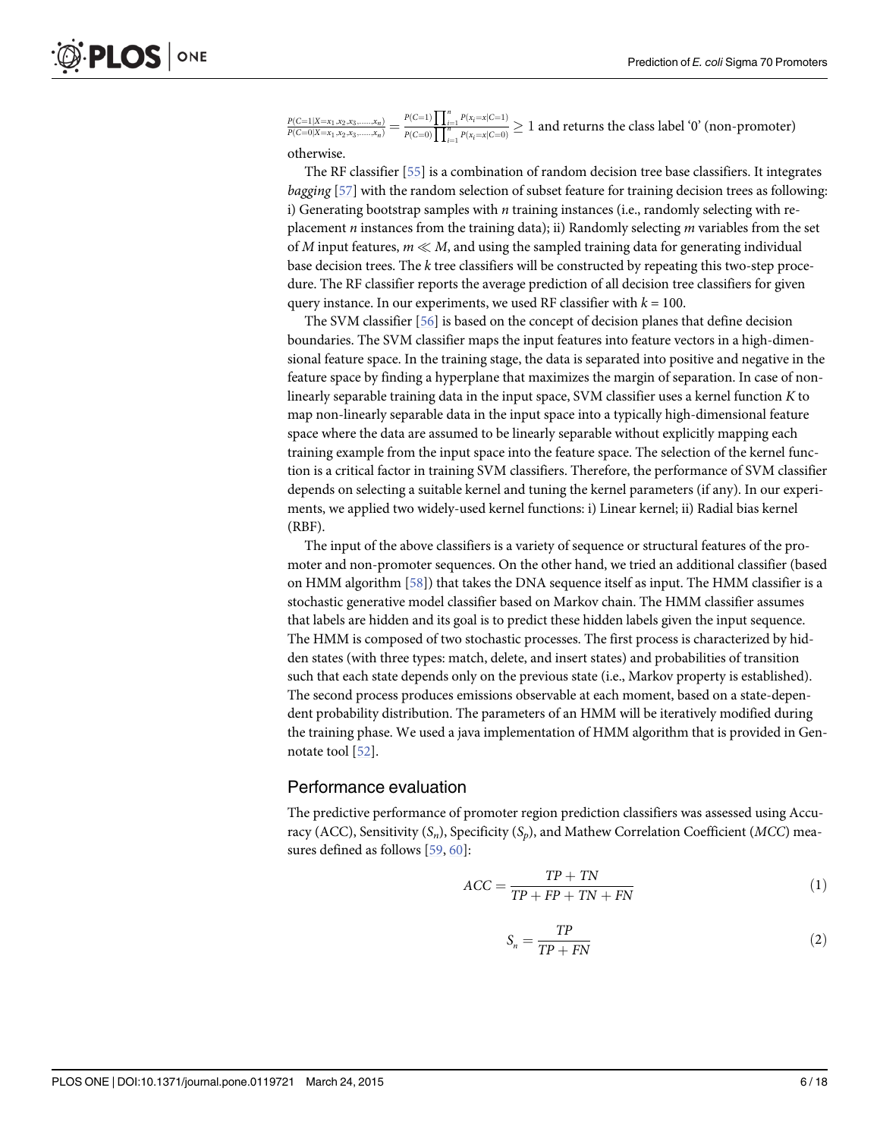<span id="page-5-0"></span>

|  | $\frac{P(C=1 X=x_1,x_2,x_3,,x_n)}{P(C=0 X=x_1,x_2,x_3,,x_n)} = \frac{P(C=1)\prod_{i=1}^n P(x_i=x C=1)}{P(C=0)\prod_{i=1}^n P(x_i=x C=0)} \ge 1$ and returns the class label '0' (non-promoter) |  |
|--|------------------------------------------------------------------------------------------------------------------------------------------------------------------------------------------------|--|
|  |                                                                                                                                                                                                |  |

otherwise.

The RF classifier [\[55\]](#page-17-0) is a combination of random decision tree base classifiers. It integrates bagging [[57](#page-17-0)] with the random selection of subset feature for training decision trees as following: i) Generating bootstrap samples with  $n$  training instances (i.e., randomly selecting with replacement  $n$  instances from the training data); ii) Randomly selecting  $m$  variables from the set of M input features,  $m \ll M$ , and using the sampled training data for generating individual base decision trees. The  $k$  tree classifiers will be constructed by repeating this two-step procedure. The RF classifier reports the average prediction of all decision tree classifiers for given query instance. In our experiments, we used RF classifier with  $k = 100$ .

The SVM classifier [[56](#page-17-0)] is based on the concept of decision planes that define decision boundaries. The SVM classifier maps the input features into feature vectors in a high-dimensional feature space. In the training stage, the data is separated into positive and negative in the feature space by finding a hyperplane that maximizes the margin of separation. In case of nonlinearly separable training data in the input space, SVM classifier uses a kernel function K to map non-linearly separable data in the input space into a typically high-dimensional feature space where the data are assumed to be linearly separable without explicitly mapping each training example from the input space into the feature space. The selection of the kernel function is a critical factor in training SVM classifiers. Therefore, the performance of SVM classifier depends on selecting a suitable kernel and tuning the kernel parameters (if any). In our experiments, we applied two widely-used kernel functions: i) Linear kernel; ii) Radial bias kernel (RBF).

The input of the above classifiers is a variety of sequence or structural features of the promoter and non-promoter sequences. On the other hand, we tried an additional classifier (based on HMM algorithm  $[58]$ ) that takes the DNA sequence itself as input. The HMM classifier is a stochastic generative model classifier based on Markov chain. The HMM classifier assumes that labels are hidden and its goal is to predict these hidden labels given the input sequence. The HMM is composed of two stochastic processes. The first process is characterized by hidden states (with three types: match, delete, and insert states) and probabilities of transition such that each state depends only on the previous state (i.e., Markov property is established). The second process produces emissions observable at each moment, based on a state-dependent probability distribution. The parameters of an HMM will be iteratively modified during the training phase. We used a java implementation of HMM algorithm that is provided in Gennotate tool [\[52](#page-17-0)].

#### Performance evaluation

The predictive performance of promoter region prediction classifiers was assessed using Accuracy (ACC), Sensitivity  $(S_n)$ , Specificity  $(S_p)$ , and Mathew Correlation Coefficient (MCC) measures defined as follows [[59](#page-17-0), [60](#page-17-0)]:

$$
ACC = \frac{TP + TN}{TP + FP + TN + FN}
$$
\n<sup>(1)</sup>

$$
S_n = \frac{TP}{TP + FN} \tag{2}
$$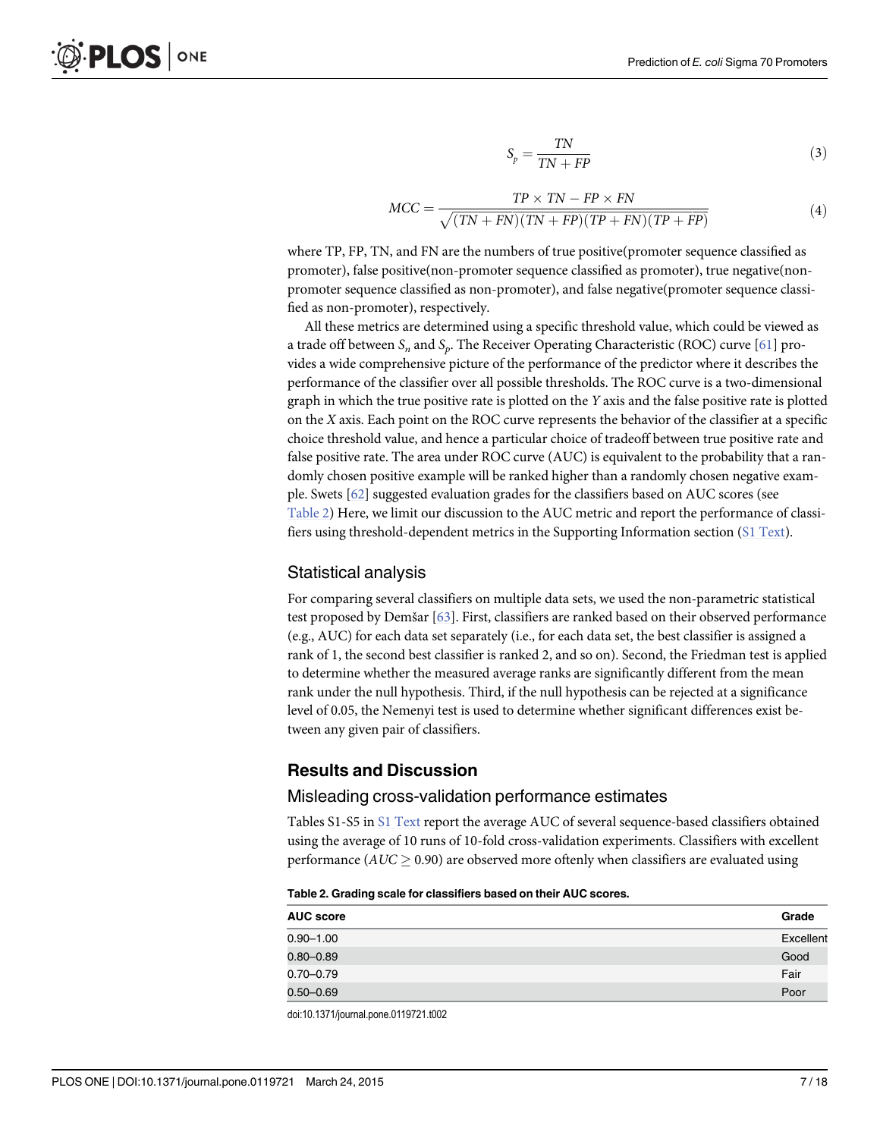$$
S_p = \frac{TN}{TN + FP} \tag{3}
$$

$$
MCC = \frac{TP \times TN - FP \times FN}{\sqrt{(TN + FN)(TN + FP)(TP + FN)(TP + FP)}}
$$
(4)

<span id="page-6-0"></span>where TP, FP, TN, and FN are the numbers of true positive(promoter sequence classified as promoter), false positive(non-promoter sequence classified as promoter), true negative(nonpromoter sequence classified as non-promoter), and false negative(promoter sequence classified as non-promoter), respectively.

All these metrics are determined using a specific threshold value, which could be viewed as a trade off between  $S_n$  and  $S_p$ . The Receiver Operating Characteristic (ROC) curve [\[61\]](#page-17-0) provides a wide comprehensive picture of the performance of the predictor where it describes the performance of the classifier over all possible thresholds. The ROC curve is a two-dimensional graph in which the true positive rate is plotted on the Y axis and the false positive rate is plotted on the X axis. Each point on the ROC curve represents the behavior of the classifier at a specific choice threshold value, and hence a particular choice of tradeoff between true positive rate and false positive rate. The area under ROC curve (AUC) is equivalent to the probability that a randomly chosen positive example will be ranked higher than a randomly chosen negative example. Swets [\[62\]](#page-17-0) suggested evaluation grades for the classifiers based on AUC scores (see Table 2) Here, we limit our discussion to the AUC metric and report the performance of classifiers using threshold-dependent metrics in the Supporting Information section ([S1 Text](#page-14-0)).

#### Statistical analysis

For comparing several classifiers on multiple data sets, we used the non-parametric statistical test proposed by Demšar [\[63\]](#page-17-0). First, classifiers are ranked based on their observed performance (e.g., AUC) for each data set separately (i.e., for each data set, the best classifier is assigned a rank of 1, the second best classifier is ranked 2, and so on). Second, the Friedman test is applied to determine whether the measured average ranks are significantly different from the mean rank under the null hypothesis. Third, if the null hypothesis can be rejected at a significance level of 0.05, the Nemenyi test is used to determine whether significant differences exist between any given pair of classifiers.

#### Results and Discussion

#### Misleading cross-validation performance estimates

Tables S1-S5 in [S1 Text](#page-14-0) report the average AUC of several sequence-based classifiers obtained using the average of 10 runs of 10-fold cross-validation experiments. Classifiers with excellent performance ( $AUC \geq 0.90$ ) are observed more oftenly when classifiers are evaluated using

Table 2. Grading scale for classifiers based on their AUC scores.

| <b>AUC</b> score | Grade     |
|------------------|-----------|
| $0.90 - 1.00$    | Excellent |
| $0.80 - 0.89$    | Good      |
| $0.70 - 0.79$    | Fair      |
| $0.50 - 0.69$    | Poor      |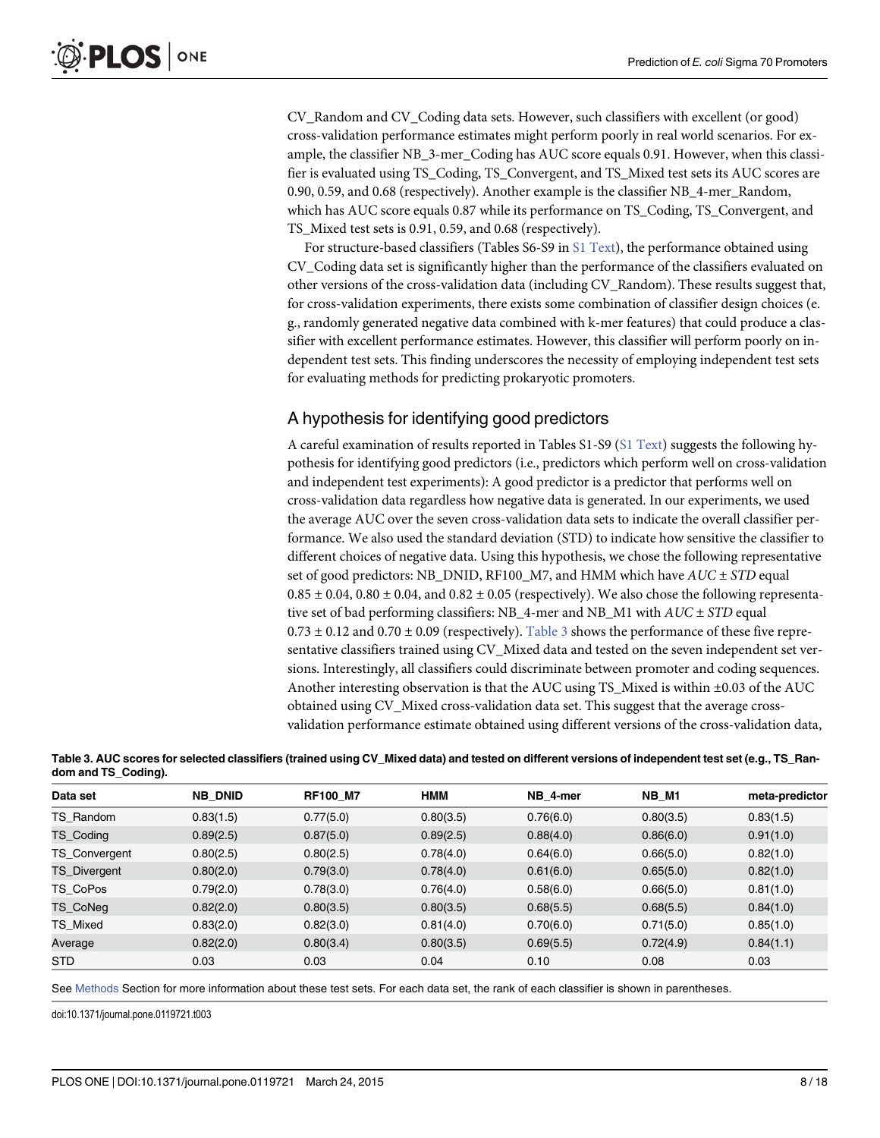<span id="page-7-0"></span>CV\_Random and CV\_Coding data sets. However, such classifiers with excellent (or good) cross-validation performance estimates might perform poorly in real world scenarios. For example, the classifier NB\_3-mer\_Coding has AUC score equals 0.91. However, when this classifier is evaluated using TS\_Coding, TS\_Convergent, and TS\_Mixed test sets its AUC scores are 0.90, 0.59, and 0.68 (respectively). Another example is the classifier NB\_4-mer\_Random, which has AUC score equals 0.87 while its performance on TS\_Coding, TS\_Convergent, and TS\_Mixed test sets is 0.91, 0.59, and 0.68 (respectively).

For structure-based classifiers (Tables S6-S9 in [S1 Text](#page-14-0)), the performance obtained using CV\_Coding data set is significantly higher than the performance of the classifiers evaluated on other versions of the cross-validation data (including CV\_Random). These results suggest that, for cross-validation experiments, there exists some combination of classifier design choices (e. g., randomly generated negative data combined with k-mer features) that could produce a classifier with excellent performance estimates. However, this classifier will perform poorly on independent test sets. This finding underscores the necessity of employing independent test sets for evaluating methods for predicting prokaryotic promoters.

### A hypothesis for identifying good predictors

A careful examination of results reported in Tables S1-S9 [\(S1 Text\)](#page-14-0) suggests the following hypothesis for identifying good predictors (i.e., predictors which perform well on cross-validation and independent test experiments): A good predictor is a predictor that performs well on cross-validation data regardless how negative data is generated. In our experiments, we used the average AUC over the seven cross-validation data sets to indicate the overall classifier performance. We also used the standard deviation (STD) to indicate how sensitive the classifier to different choices of negative data. Using this hypothesis, we chose the following representative set of good predictors: NB\_DNID, RF100\_M7, and HMM which have  $AUC \pm STD$  equal  $0.85 \pm 0.04$ ,  $0.80 \pm 0.04$ , and  $0.82 \pm 0.05$  (respectively). We also chose the following representative set of bad performing classifiers: NB\_4-mer and NB\_M1 with  $AUC \pm STD$  equal  $0.73 \pm 0.12$  and  $0.70 \pm 0.09$  (respectively). Table 3 shows the performance of these five representative classifiers trained using CV\_Mixed data and tested on the seven independent set versions. Interestingly, all classifiers could discriminate between promoter and coding sequences. Another interesting observation is that the AUC using TS\_Mixed is within ±0.03 of the AUC obtained using CV\_Mixed cross-validation data set. This suggest that the average crossvalidation performance estimate obtained using different versions of the cross-validation data,

| Data set         | <b>NB DNID</b> | <b>RF100 M7</b> | <b>HMM</b> | NB_4-mer  | NB M1     | meta-predictor |
|------------------|----------------|-----------------|------------|-----------|-----------|----------------|
| TS Random        | 0.83(1.5)      | 0.77(5.0)       | 0.80(3.5)  | 0.76(6.0) | 0.80(3.5) | 0.83(1.5)      |
| <b>TS Coding</b> | 0.89(2.5)      | 0.87(5.0)       | 0.89(2.5)  | 0.88(4.0) | 0.86(6.0) | 0.91(1.0)      |
| TS_Convergent    | 0.80(2.5)      | 0.80(2.5)       | 0.78(4.0)  | 0.64(6.0) | 0.66(5.0) | 0.82(1.0)      |
| TS_Divergent     | 0.80(2.0)      | 0.79(3.0)       | 0.78(4.0)  | 0.61(6.0) | 0.65(5.0) | 0.82(1.0)      |
| TS CoPos         | 0.79(2.0)      | 0.78(3.0)       | 0.76(4.0)  | 0.58(6.0) | 0.66(5.0) | 0.81(1.0)      |
| TS_CoNeg         | 0.82(2.0)      | 0.80(3.5)       | 0.80(3.5)  | 0.68(5.5) | 0.68(5.5) | 0.84(1.0)      |
| TS Mixed         | 0.83(2.0)      | 0.82(3.0)       | 0.81(4.0)  | 0.70(6.0) | 0.71(5.0) | 0.85(1.0)      |
| Average          | 0.82(2.0)      | 0.80(3.4)       | 0.80(3.5)  | 0.69(5.5) | 0.72(4.9) | 0.84(1.1)      |
| <b>STD</b>       | 0.03           | 0.03            | 0.04       | 0.10      | 0.08      | 0.03           |

Table 3. AUC scores for selected classifiers (trained using CV\_Mixed data) and tested on different versions of independent test set (e.g., TS\_Random and TS\_Coding).

See [Methods](#page-2-0) Section for more information about these test sets. For each data set, the rank of each classifier is shown in parentheses.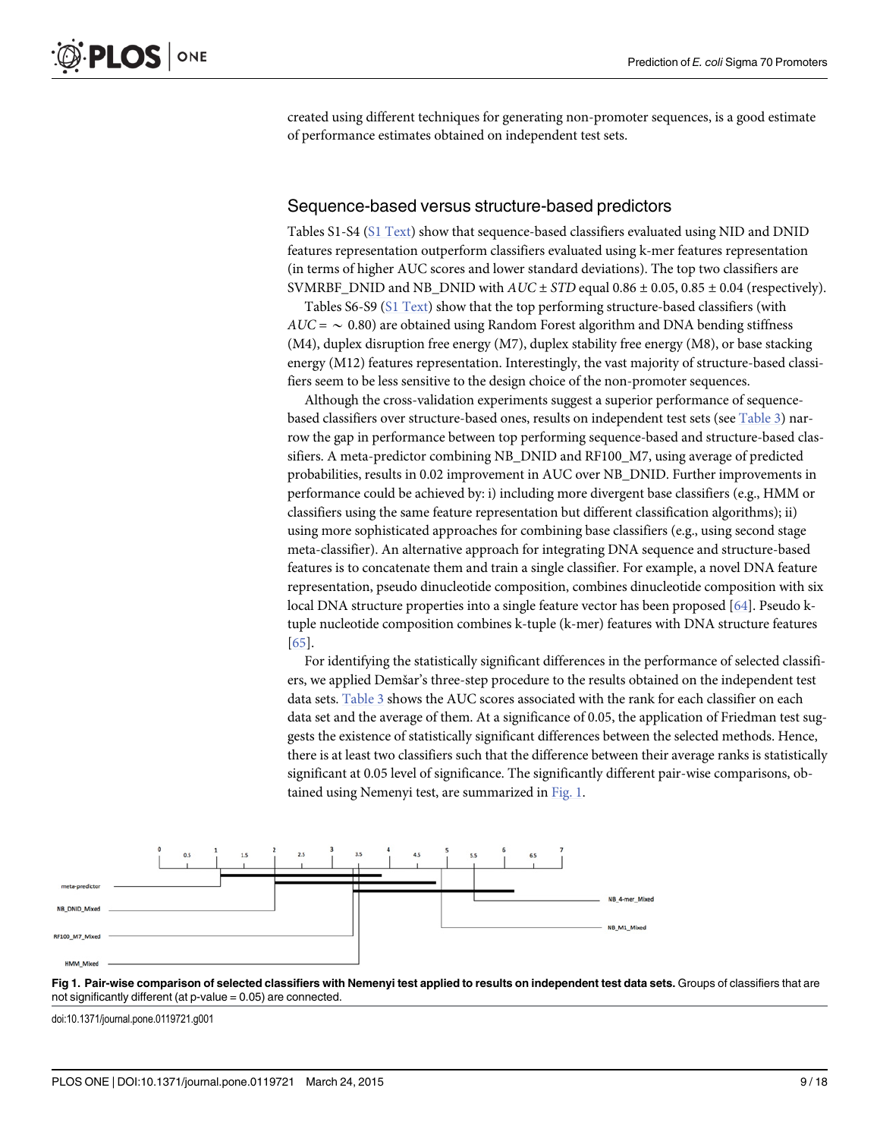<span id="page-8-0"></span>created using different techniques for generating non-promoter sequences, is a good estimate of performance estimates obtained on independent test sets.

#### Sequence-based versus structure-based predictors

Tables S1-S4 [\(S1 Text\)](#page-14-0) show that sequence-based classifiers evaluated using NID and DNID features representation outperform classifiers evaluated using k-mer features representation (in terms of higher AUC scores and lower standard deviations). The top two classifiers are SVMRBF DNID and NB DNID with  $AUC \pm STD$  equal 0.86  $\pm$  0.05, 0.85  $\pm$  0.04 (respectively).

Tables S6-S9 [\(S1 Text\)](#page-14-0) show that the top performing structure-based classifiers (with  $AUC = \sim 0.80$ ) are obtained using Random Forest algorithm and DNA bending stiffness (M4), duplex disruption free energy (M7), duplex stability free energy (M8), or base stacking energy (M12) features representation. Interestingly, the vast majority of structure-based classifiers seem to be less sensitive to the design choice of the non-promoter sequences.

Although the cross-validation experiments suggest a superior performance of sequencebased classifiers over structure-based ones, results on independent test sets (see Table 3) narrow the gap in performance between top performing sequence-based and structure-based classifiers. A meta-predictor combining NB\_DNID and RF100\_M7, using average of predicted probabilities, results in 0.02 improvement in AUC over NB\_DNID. Further improvements in performance could be achieved by: i) including more divergent base classifiers (e.g., HMM or classifiers using the same feature representation but different classification algorithms); ii) using more sophisticated approaches for combining base classifiers (e.g., using second stage meta-classifier). An alternative approach for integrating DNA sequence and structure-based features is to concatenate them and train a single classifier. For example, a novel DNA feature representation, pseudo dinucleotide composition, combines dinucleotide composition with six local DNA structure properties into a single feature vector has been proposed [[64](#page-17-0)]. Pseudo ktuple nucleotide composition combines k-tuple (k-mer) features with DNA structure features [\[65](#page-17-0)].

For identifying the statistically significant differences in the performance of selected classifiers, we applied Demšar's three-step procedure to the results obtained on the independent test data sets. Table 3 shows the AUC scores associated with the rank for each classifier on each data set and the average of them. At a significance of 0.05, the application of Friedman test suggests the existence of statistically significant differences between the selected methods. Hence, there is at least two classifiers such that the difference between their average ranks is statistically significant at 0.05 level of significance. The significantly different pair-wise comparisons, obtained using Nemenyi test, are summarized in Fig. 1.



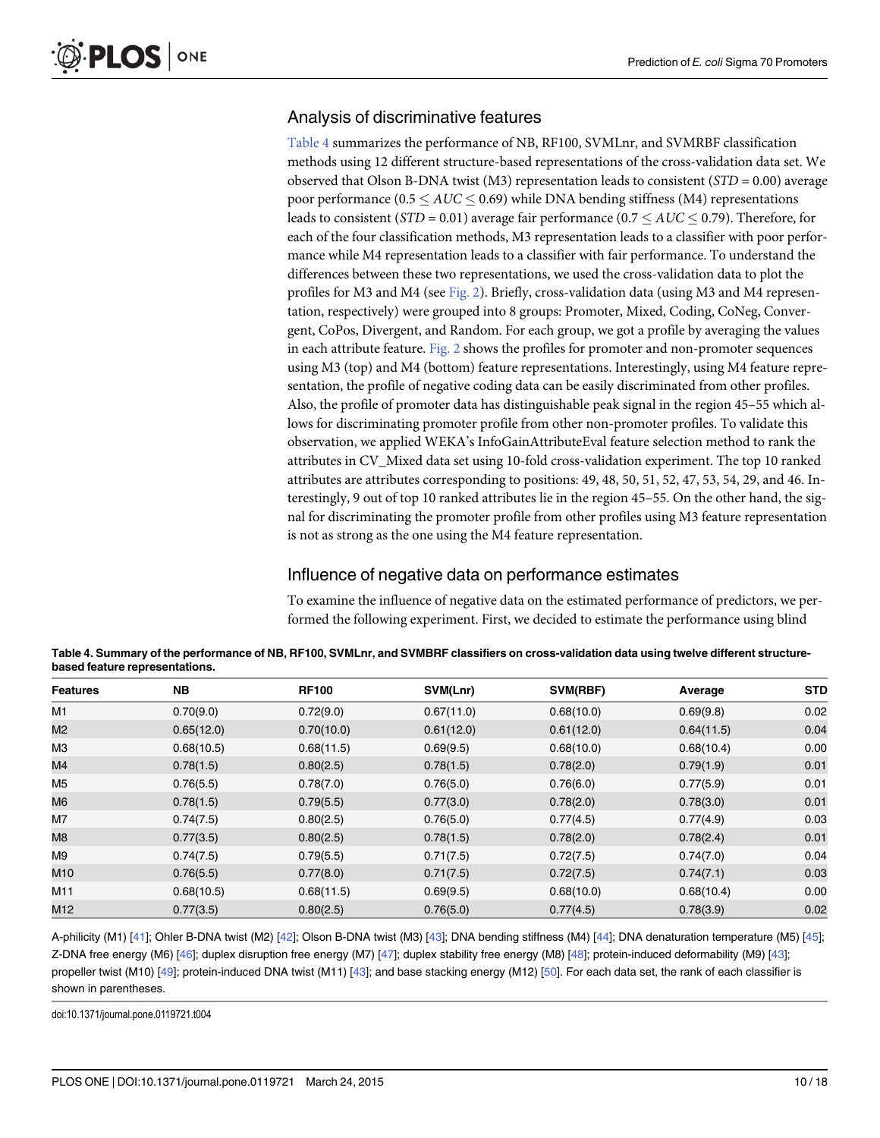### <span id="page-9-0"></span>Analysis of discriminative features

Table 4 summarizes the performance of NB, RF100, SVMLnr, and SVMRBF classification methods using 12 different structure-based representations of the cross-validation data set. We observed that Olson B-DNA twist (M3) representation leads to consistent  $(STD = 0.00)$  average poor performance ( $0.5 \le AUC \le 0.69$ ) while DNA bending stiffness (M4) representations leads to consistent (STD = 0.01) average fair performance (0.7  $\leq AUC \leq 0.79$ ). Therefore, for each of the four classification methods, M3 representation leads to a classifier with poor performance while M4 representation leads to a classifier with fair performance. To understand the differences between these two representations, we used the cross-validation data to plot the profiles for M3 and M4 (see [Fig. 2\)](#page-10-0). Briefly, cross-validation data (using M3 and M4 representation, respectively) were grouped into 8 groups: Promoter, Mixed, Coding, CoNeg, Convergent, CoPos, Divergent, and Random. For each group, we got a profile by averaging the values in each attribute feature. Fig.  $2$  shows the profiles for promoter and non-promoter sequences using M3 (top) and M4 (bottom) feature representations. Interestingly, using M4 feature representation, the profile of negative coding data can be easily discriminated from other profiles. Also, the profile of promoter data has distinguishable peak signal in the region 45–55 which allows for discriminating promoter profile from other non-promoter profiles. To validate this observation, we applied WEKA's InfoGainAttributeEval feature selection method to rank the attributes in CV\_Mixed data set using 10-fold cross-validation experiment. The top 10 ranked attributes are attributes corresponding to positions: 49, 48, 50, 51, 52, 47, 53, 54, 29, and 46. Interestingly, 9 out of top 10 ranked attributes lie in the region 45–55. On the other hand, the signal for discriminating the promoter profile from other profiles using M3 feature representation is not as strong as the one using the M4 feature representation.

#### Influence of negative data on performance estimates

To examine the influence of negative data on the estimated performance of predictors, we performed the following experiment. First, we decided to estimate the performance using blind

| <b>Features</b> | <b>NB</b>  | <b>RF100</b> | SVM(Lnr)   | SVM(RBF)   | Average    | <b>STD</b> |
|-----------------|------------|--------------|------------|------------|------------|------------|
| M1              | 0.70(9.0)  | 0.72(9.0)    | 0.67(11.0) | 0.68(10.0) | 0.69(9.8)  | 0.02       |
| M2              | 0.65(12.0) | 0.70(10.0)   | 0.61(12.0) | 0.61(12.0) | 0.64(11.5) | 0.04       |
| ΜЗ              | 0.68(10.5) | 0.68(11.5)   | 0.69(9.5)  | 0.68(10.0) | 0.68(10.4) | 0.00       |
| M4              | 0.78(1.5)  | 0.80(2.5)    | 0.78(1.5)  | 0.78(2.0)  | 0.79(1.9)  | 0.01       |
| M <sub>5</sub>  | 0.76(5.5)  | 0.78(7.0)    | 0.76(5.0)  | 0.76(6.0)  | 0.77(5.9)  | 0.01       |
| M6              | 0.78(1.5)  | 0.79(5.5)    | 0.77(3.0)  | 0.78(2.0)  | 0.78(3.0)  | 0.01       |
| M7              | 0.74(7.5)  | 0.80(2.5)    | 0.76(5.0)  | 0.77(4.5)  | 0.77(4.9)  | 0.03       |
| M8              | 0.77(3.5)  | 0.80(2.5)    | 0.78(1.5)  | 0.78(2.0)  | 0.78(2.4)  | 0.01       |
| M9              | 0.74(7.5)  | 0.79(5.5)    | 0.71(7.5)  | 0.72(7.5)  | 0.74(7.0)  | 0.04       |
| M10             | 0.76(5.5)  | 0.77(8.0)    | 0.71(7.5)  | 0.72(7.5)  | 0.74(7.1)  | 0.03       |
| M11             | 0.68(10.5) | 0.68(11.5)   | 0.69(9.5)  | 0.68(10.0) | 0.68(10.4) | 0.00       |
| M12             | 0.77(3.5)  | 0.80(2.5)    | 0.76(5.0)  | 0.77(4.5)  | 0.78(3.9)  | 0.02       |

Table 4. Summary of the performance of NB, RF100, SVMLnr, and SVMBRF classifiers on cross-validation data using twelve different structurebased feature representations.

A-philicity (M1) [[41](#page-16-0)]; Ohler B-DNA twist (M2) [[42\]](#page-16-0); Olson B-DNA twist (M3) [[43](#page-17-0)]; DNA bending stiffness (M4) [\[44\]](#page-17-0); DNA denaturation temperature (M5) [[45\]](#page-17-0); Z-DNA free energy (M6) [\[46\]](#page-17-0); duplex disruption free energy (M7) [\[47](#page-17-0)]; duplex stability free energy (M8) [\[48](#page-17-0)]; protein-induced deformability (M9) [[43\]](#page-17-0); propeller twist (M10) [[49\]](#page-17-0); protein-induced DNA twist (M11) [[43\]](#page-17-0); and base stacking energy (M12) [[50](#page-17-0)]. For each data set, the rank of each classifier is shown in parentheses.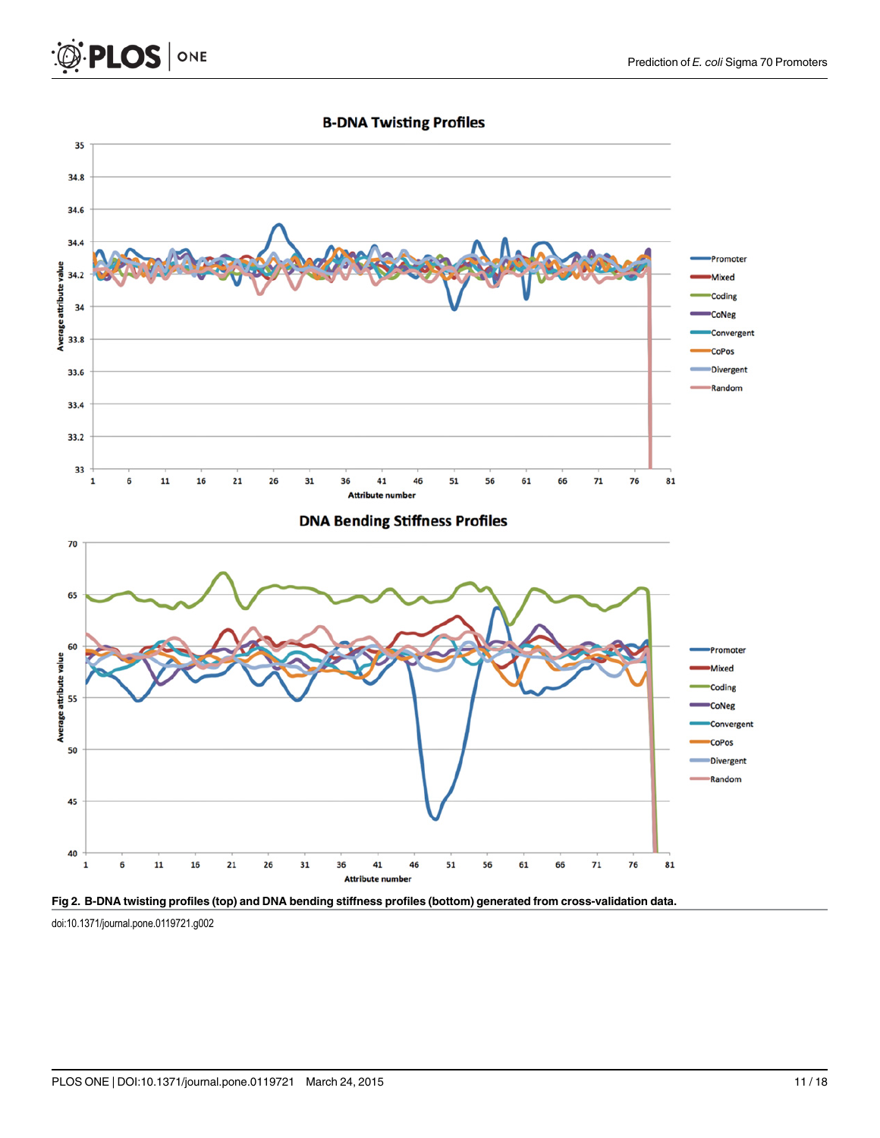<span id="page-10-0"></span>



**B-DNA Twisting Profiles** 

[Fig 2. B](#page-9-0)-DNA twisting profiles (top) and DNA bending stiffness profiles (bottom) generated from cross-validation data. doi:10.1371/journal.pone.0119721.g002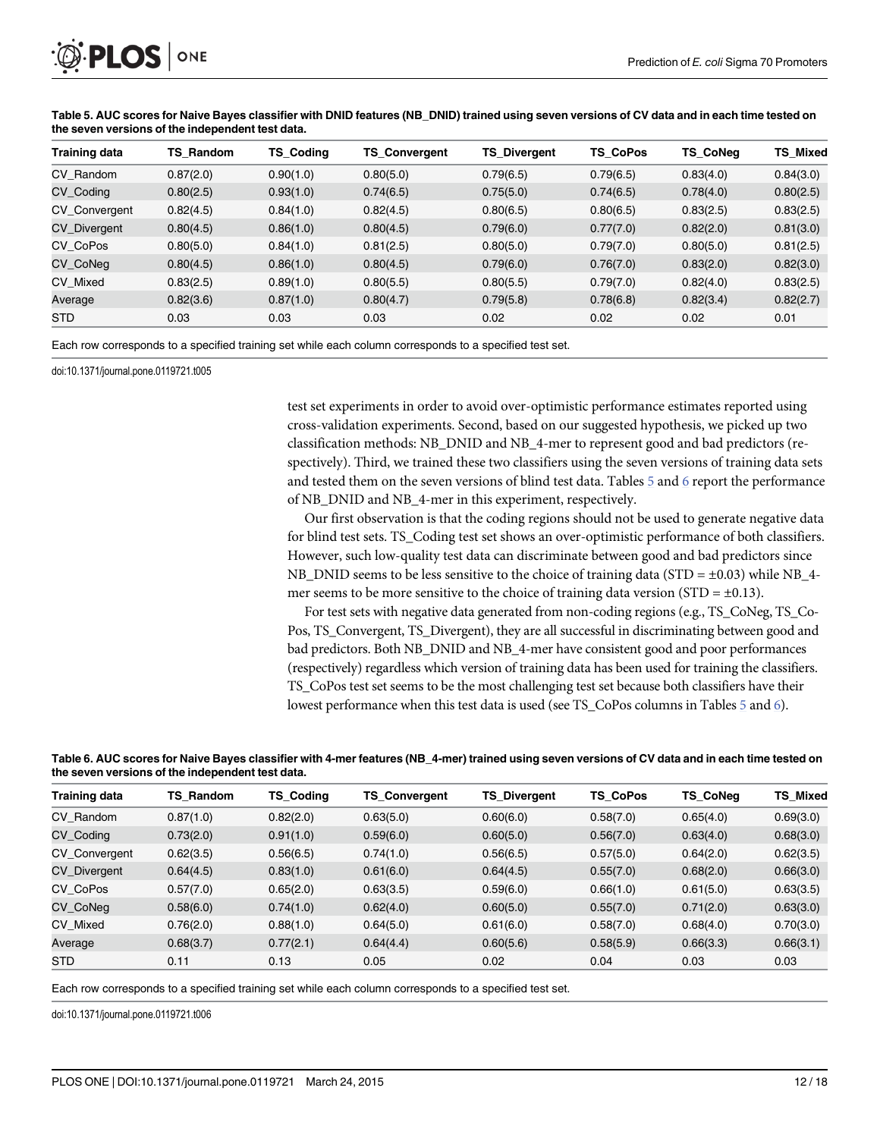

| <b>Training data</b> | TS Random | <b>TS Coding</b> | <b>TS Convergent</b> | <b>TS Divergent</b> | <b>TS CoPos</b> | <b>TS CoNeg</b> | <b>TS Mixed</b> |
|----------------------|-----------|------------------|----------------------|---------------------|-----------------|-----------------|-----------------|
| CV Random            | 0.87(2.0) | 0.90(1.0)        | 0.80(5.0)            | 0.79(6.5)           | 0.79(6.5)       | 0.83(4.0)       | 0.84(3.0)       |
| CV Coding            | 0.80(2.5) | 0.93(1.0)        | 0.74(6.5)            | 0.75(5.0)           | 0.74(6.5)       | 0.78(4.0)       | 0.80(2.5)       |
| <b>CV Convergent</b> | 0.82(4.5) | 0.84(1.0)        | 0.82(4.5)            | 0.80(6.5)           | 0.80(6.5)       | 0.83(2.5)       | 0.83(2.5)       |
| <b>CV Divergent</b>  | 0.80(4.5) | 0.86(1.0)        | 0.80(4.5)            | 0.79(6.0)           | 0.77(7.0)       | 0.82(2.0)       | 0.81(3.0)       |
| CV CoPos             | 0.80(5.0) | 0.84(1.0)        | 0.81(2.5)            | 0.80(5.0)           | 0.79(7.0)       | 0.80(5.0)       | 0.81(2.5)       |
| CV CoNeg             | 0.80(4.5) | 0.86(1.0)        | 0.80(4.5)            | 0.79(6.0)           | 0.76(7.0)       | 0.83(2.0)       | 0.82(3.0)       |
| CV Mixed             | 0.83(2.5) | 0.89(1.0)        | 0.80(5.5)            | 0.80(5.5)           | 0.79(7.0)       | 0.82(4.0)       | 0.83(2.5)       |
| Average              | 0.82(3.6) | 0.87(1.0)        | 0.80(4.7)            | 0.79(5.8)           | 0.78(6.8)       | 0.82(3.4)       | 0.82(2.7)       |
| <b>STD</b>           | 0.03      | 0.03             | 0.03                 | 0.02                | 0.02            | 0.02            | 0.01            |

Table 5. AUC scores for Naive Bayes classifier with DNID features (NB\_DNID) trained using seven versions of CV data and in each time tested on the seven versions of the independent test data.

Each row corresponds to a specified training set while each column corresponds to a specified test set.

doi:10.1371/journal.pone.0119721.t005

test set experiments in order to avoid over-optimistic performance estimates reported using cross-validation experiments. Second, based on our suggested hypothesis, we picked up two classification methods: NB\_DNID and NB\_4-mer to represent good and bad predictors (respectively). Third, we trained these two classifiers using the seven versions of training data sets and tested them on the seven versions of blind test data. Tables  $5$  and  $6$  report the performance of NB\_DNID and NB\_4-mer in this experiment, respectively.

Our first observation is that the coding regions should not be used to generate negative data for blind test sets. TS\_Coding test set shows an over-optimistic performance of both classifiers. However, such low-quality test data can discriminate between good and bad predictors since NB\_DNID seems to be less sensitive to the choice of training data (STD =  $\pm$ 0.03) while NB\_4mer seems to be more sensitive to the choice of training data version (STD =  $\pm$ 0.13).

For test sets with negative data generated from non-coding regions (e.g., TS\_CoNeg, TS\_Co-Pos, TS\_Convergent, TS\_Divergent), they are all successful in discriminating between good and bad predictors. Both NB\_DNID and NB\_4-mer have consistent good and poor performances (respectively) regardless which version of training data has been used for training the classifiers. TS\_CoPos test set seems to be the most challenging test set because both classifiers have their lowest performance when this test data is used (see TS\_CoPos columns in Tables 5 and 6).

|                                                  | Table 6. AUC scores for Naive Bayes classifier with 4-mer features (NB_4-mer) trained using seven versions of CV data and in each time tested on |
|--------------------------------------------------|--------------------------------------------------------------------------------------------------------------------------------------------------|
| the seven versions of the independent test data. |                                                                                                                                                  |

| Training data        | <b>TS Random</b> | <b>TS Coding</b> | <b>TS Convergent</b> | <b>TS Divergent</b> | <b>TS CoPos</b> | <b>TS CoNeg</b> | <b>TS Mixed</b> |
|----------------------|------------------|------------------|----------------------|---------------------|-----------------|-----------------|-----------------|
| CV Random            | 0.87(1.0)        | 0.82(2.0)        | 0.63(5.0)            | 0.60(6.0)           | 0.58(7.0)       | 0.65(4.0)       | 0.69(3.0)       |
| CV Coding            | 0.73(2.0)        | 0.91(1.0)        | 0.59(6.0)            | 0.60(5.0)           | 0.56(7.0)       | 0.63(4.0)       | 0.68(3.0)       |
| <b>CV</b> Convergent | 0.62(3.5)        | 0.56(6.5)        | 0.74(1.0)            | 0.56(6.5)           | 0.57(5.0)       | 0.64(2.0)       | 0.62(3.5)       |
| <b>CV Divergent</b>  | 0.64(4.5)        | 0.83(1.0)        | 0.61(6.0)            | 0.64(4.5)           | 0.55(7.0)       | 0.68(2.0)       | 0.66(3.0)       |
| CV CoPos             | 0.57(7.0)        | 0.65(2.0)        | 0.63(3.5)            | 0.59(6.0)           | 0.66(1.0)       | 0.61(5.0)       | 0.63(3.5)       |
| CV CoNeg             | 0.58(6.0)        | 0.74(1.0)        | 0.62(4.0)            | 0.60(5.0)           | 0.55(7.0)       | 0.71(2.0)       | 0.63(3.0)       |
| CV Mixed             | 0.76(2.0)        | 0.88(1.0)        | 0.64(5.0)            | 0.61(6.0)           | 0.58(7.0)       | 0.68(4.0)       | 0.70(3.0)       |
| Average              | 0.68(3.7)        | 0.77(2.1)        | 0.64(4.4)            | 0.60(5.6)           | 0.58(5.9)       | 0.66(3.3)       | 0.66(3.1)       |
| <b>STD</b>           | 0.11             | 0.13             | 0.05                 | 0.02                | 0.04            | 0.03            | 0.03            |

Each row corresponds to a specified training set while each column corresponds to a specified test set.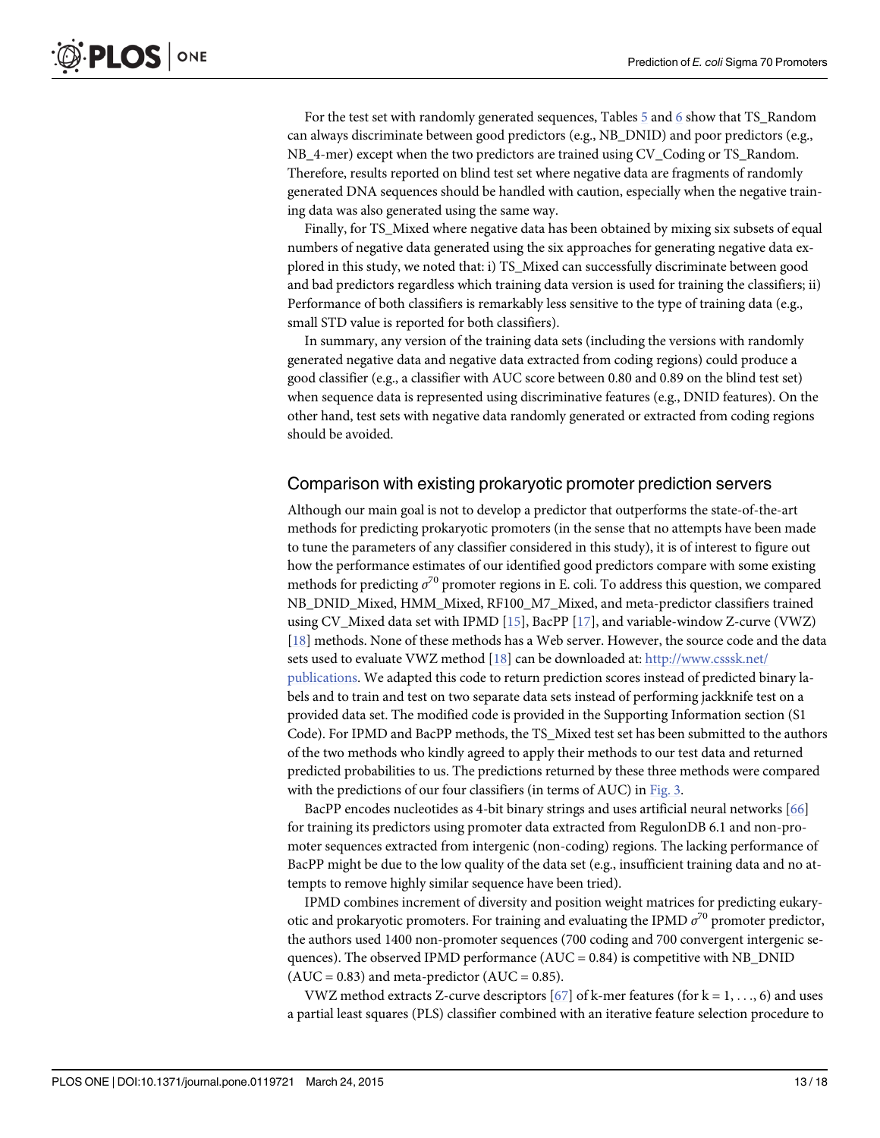<span id="page-12-0"></span>For the test set with randomly generated sequences, Tables 5 and 6 show that TS\_Random can always discriminate between good predictors (e.g., NB\_DNID) and poor predictors (e.g., NB\_4-mer) except when the two predictors are trained using CV\_Coding or TS\_Random. Therefore, results reported on blind test set where negative data are fragments of randomly generated DNA sequences should be handled with caution, especially when the negative training data was also generated using the same way.

Finally, for TS\_Mixed where negative data has been obtained by mixing six subsets of equal numbers of negative data generated using the six approaches for generating negative data explored in this study, we noted that: i) TS\_Mixed can successfully discriminate between good and bad predictors regardless which training data version is used for training the classifiers; ii) Performance of both classifiers is remarkably less sensitive to the type of training data (e.g., small STD value is reported for both classifiers).

In summary, any version of the training data sets (including the versions with randomly generated negative data and negative data extracted from coding regions) could produce a good classifier (e.g., a classifier with AUC score between 0.80 and 0.89 on the blind test set) when sequence data is represented using discriminative features (e.g., DNID features). On the other hand, test sets with negative data randomly generated or extracted from coding regions should be avoided.

#### Comparison with existing prokaryotic promoter prediction servers

Although our main goal is not to develop a predictor that outperforms the state-of-the-art methods for predicting prokaryotic promoters (in the sense that no attempts have been made to tune the parameters of any classifier considered in this study), it is of interest to figure out how the performance estimates of our identified good predictors compare with some existing methods for predicting  $\sigma^{70}$  promoter regions in E. coli. To address this question, we compared NB\_DNID\_Mixed, HMM\_Mixed, RF100\_M7\_Mixed, and meta-predictor classifiers trained using CV\_Mixed data set with IPMD [[15](#page-15-0)], BacPP [[17](#page-15-0)], and variable-window Z-curve (VWZ) [\[18](#page-15-0)] methods. None of these methods has a Web server. However, the source code and the data sets used to evaluate VWZ method [\[18\]](#page-15-0) can be downloaded at: [http://www.csssk.net/](http://www.csssk.net/publications) [publications.](http://www.csssk.net/publications) We adapted this code to return prediction scores instead of predicted binary labels and to train and test on two separate data sets instead of performing jackknife test on a provided data set. The modified code is provided in the Supporting Information section (S1 Code). For IPMD and BacPP methods, the TS\_Mixed test set has been submitted to the authors of the two methods who kindly agreed to apply their methods to our test data and returned predicted probabilities to us. The predictions returned by these three methods were compared with the predictions of our four classifiers (in terms of AUC) in [Fig. 3.](#page-13-0)

BacPP encodes nucleotides as 4-bit binary strings and uses artificial neural networks [\[66\]](#page-17-0) for training its predictors using promoter data extracted from RegulonDB 6.1 and non-promoter sequences extracted from intergenic (non-coding) regions. The lacking performance of BacPP might be due to the low quality of the data set (e.g., insufficient training data and no attempts to remove highly similar sequence have been tried).

IPMD combines increment of diversity and position weight matrices for predicting eukaryotic and prokaryotic promoters. For training and evaluating the IPMD  $\sigma^{70}$  promoter predictor, the authors used 1400 non-promoter sequences (700 coding and 700 convergent intergenic sequences). The observed IPMD performance ( $AUC = 0.84$ ) is competitive with NB\_DNID  $(AUC = 0.83)$  and meta-predictor  $(AUC = 0.85)$ .

VWZ method extracts Z-curve descriptors  $[67]$  $[67]$  of k-mer features (for  $k = 1, ..., 6$ ) and uses a partial least squares (PLS) classifier combined with an iterative feature selection procedure to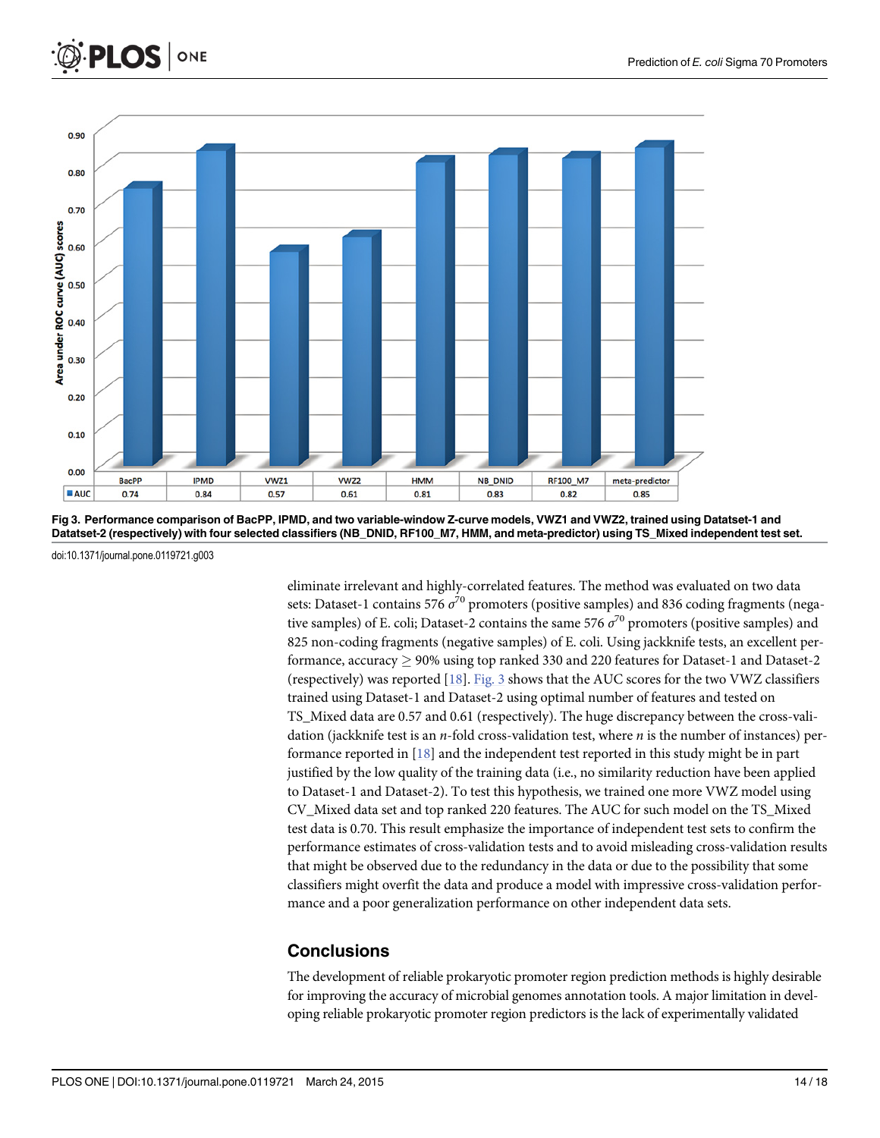<span id="page-13-0"></span>

[Fig 3. P](#page-12-0)erformance comparison of BacPP, IPMD, and two variable-window Z-curve models, VWZ1 and VWZ2, trained using Datatset-1 and Datatset-2 (respectively) with four selected classifiers (NB\_DNID, RF100\_M7, HMM, and meta-predictor) using TS\_Mixed independent test set.

**HMM** 

 $0.81$ 

**NB\_DNID** 

0.83

doi:10.1371/journal.pone.0119721.g003

**BacPP** 

0.74

**IPMD** 

0.84

VWZ1

 $0.57$ 

VWZ2

 $0.61$ 

 $0.10$ 

 $0.00$ 

 $AUC$ 

eliminate irrelevant and highly-correlated features. The method was evaluated on two data sets: Dataset-1 contains 576  $\sigma^{70}$  promoters (positive samples) and 836 coding fragments (negative samples) of E. coli; Dataset-2 contains the same 576  $\sigma^{70}$  promoters (positive samples) and 825 non-coding fragments (negative samples) of E. coli. Using jackknife tests, an excellent performance, accuracy  $\geq$  90% using top ranked 330 and 220 features for Dataset-1 and Dataset-2 (respectively) was reported  $[18]$ . Fig. 3 shows that the AUC scores for the two VWZ classifiers trained using Dataset-1 and Dataset-2 using optimal number of features and tested on TS\_Mixed data are 0.57 and 0.61 (respectively). The huge discrepancy between the cross-validation (jackknife test is an *n*-fold cross-validation test, where *n* is the number of instances) performance reported in [\[18\]](#page-15-0) and the independent test reported in this study might be in part justified by the low quality of the training data (i.e., no similarity reduction have been applied to Dataset-1 and Dataset-2). To test this hypothesis, we trained one more VWZ model using CV\_Mixed data set and top ranked 220 features. The AUC for such model on the TS\_Mixed test data is 0.70. This result emphasize the importance of independent test sets to confirm the performance estimates of cross-validation tests and to avoid misleading cross-validation results that might be observed due to the redundancy in the data or due to the possibility that some classifiers might overfit the data and produce a model with impressive cross-validation performance and a poor generalization performance on other independent data sets.

**RF100\_M7** 

0.82

meta-predictor

0.85

### **Conclusions**

The development of reliable prokaryotic promoter region prediction methods is highly desirable for improving the accuracy of microbial genomes annotation tools. A major limitation in developing reliable prokaryotic promoter region predictors is the lack of experimentally validated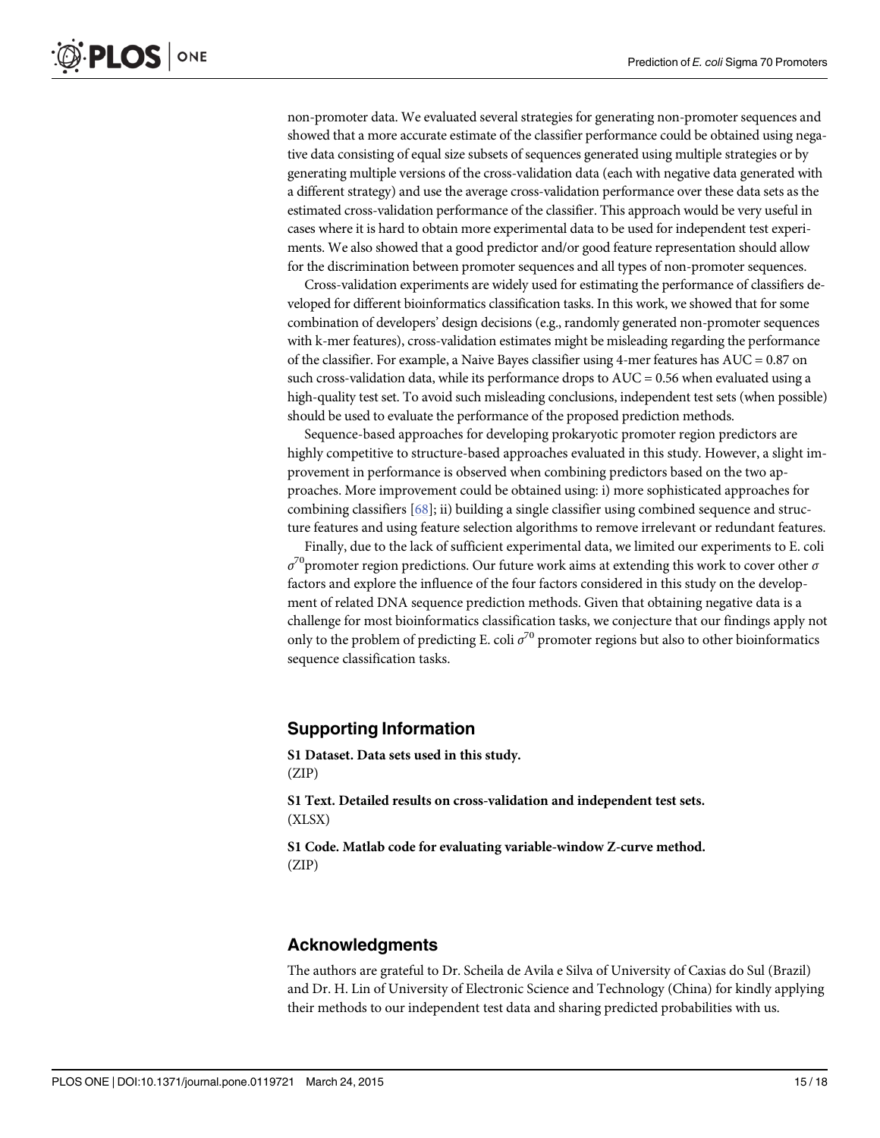<span id="page-14-0"></span>non-promoter data. We evaluated several strategies for generating non-promoter sequences and showed that a more accurate estimate of the classifier performance could be obtained using negative data consisting of equal size subsets of sequences generated using multiple strategies or by generating multiple versions of the cross-validation data (each with negative data generated with a different strategy) and use the average cross-validation performance over these data sets as the estimated cross-validation performance of the classifier. This approach would be very useful in cases where it is hard to obtain more experimental data to be used for independent test experiments. We also showed that a good predictor and/or good feature representation should allow for the discrimination between promoter sequences and all types of non-promoter sequences.

Cross-validation experiments are widely used for estimating the performance of classifiers developed for different bioinformatics classification tasks. In this work, we showed that for some combination of developers' design decisions (e.g., randomly generated non-promoter sequences with k-mer features), cross-validation estimates might be misleading regarding the performance of the classifier. For example, a Naive Bayes classifier using 4-mer features has  $AUC = 0.87$  on such cross-validation data, while its performance drops to  $AUC = 0.56$  when evaluated using a high-quality test set. To avoid such misleading conclusions, independent test sets (when possible) should be used to evaluate the performance of the proposed prediction methods.

Sequence-based approaches for developing prokaryotic promoter region predictors are highly competitive to structure-based approaches evaluated in this study. However, a slight improvement in performance is observed when combining predictors based on the two approaches. More improvement could be obtained using: i) more sophisticated approaches for combining classifiers  $[68]$  $[68]$  $[68]$ ; ii) building a single classifier using combined sequence and structure features and using feature selection algorithms to remove irrelevant or redundant features.

Finally, due to the lack of sufficient experimental data, we limited our experiments to E. coli  $\sigma^{\gamma}$  promoter region predictions. Our future work aims at extending this work to cover other  $\sigma$ factors and explore the influence of the four factors considered in this study on the development of related DNA sequence prediction methods. Given that obtaining negative data is a challenge for most bioinformatics classification tasks, we conjecture that our findings apply not only to the problem of predicting E. coli  $\sigma^{70}$  promoter regions but also to other bioinformatics sequence classification tasks.

#### Supporting Information

[S1 Dataset.](http://www.plosone.org/article/fetchSingleRepresentation.action?uri=info:doi/10.1371/journal.pone.0119721.s001) Data sets used in this study. (ZIP)

[S1 Text.](http://www.plosone.org/article/fetchSingleRepresentation.action?uri=info:doi/10.1371/journal.pone.0119721.s002) Detailed results on cross-validation and independent test sets. (XLSX)

[S1 Code.](http://www.plosone.org/article/fetchSingleRepresentation.action?uri=info:doi/10.1371/journal.pone.0119721.s003) Matlab code for evaluating variable-window Z-curve method. (ZIP)

#### Acknowledgments

The authors are grateful to Dr. Scheila de Avila e Silva of University of Caxias do Sul (Brazil) and Dr. H. Lin of University of Electronic Science and Technology (China) for kindly applying their methods to our independent test data and sharing predicted probabilities with us.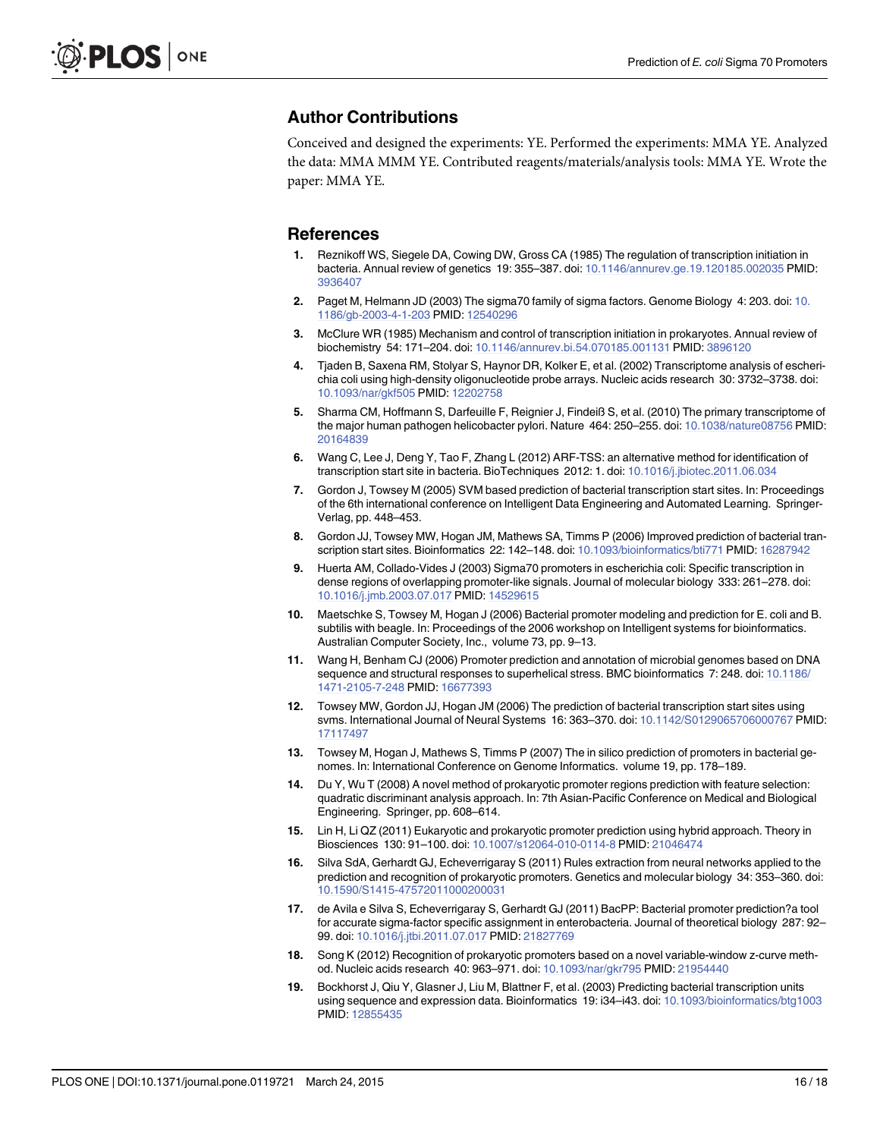#### <span id="page-15-0"></span>Author Contributions

Conceived and designed the experiments: YE. Performed the experiments: MMA YE. Analyzed the data: MMA MMM YE. Contributed reagents/materials/analysis tools: MMA YE. Wrote the paper: MMA YE.

#### References

- [1.](#page-1-0) Reznikoff WS, Siegele DA, Cowing DW, Gross CA (1985) The regulation of transcription initiation in bacteria. Annual review of genetics 19: 355–387. doi: [10.1146/annurev.ge.19.120185.002035](http://dx.doi.org/10.1146/annurev.ge.19.120185.002035) PMID: [3936407](http://www.ncbi.nlm.nih.gov/pubmed/3936407)
- [2.](#page-1-0) Paget M, Helmann JD (2003) The sigma70 family of sigma factors. Genome Biology 4: 203. doi: [10.](http://dx.doi.org/10.1186/gb-2003-4-1-203) [1186/gb-2003-4-1-203](http://dx.doi.org/10.1186/gb-2003-4-1-203) PMID: [12540296](http://www.ncbi.nlm.nih.gov/pubmed/12540296)
- [3.](#page-1-0) McClure WR (1985) Mechanism and control of transcription initiation in prokaryotes. Annual review of biochemistry 54: 171–204. doi: [10.1146/annurev.bi.54.070185.001131](http://dx.doi.org/10.1146/annurev.bi.54.070185.001131) PMID: [3896120](http://www.ncbi.nlm.nih.gov/pubmed/3896120)
- [4.](#page-1-0) Tjaden B, Saxena RM, Stolyar S, Haynor DR, Kolker E, et al. (2002) Transcriptome analysis of escherichia coli using high-density oligonucleotide probe arrays. Nucleic acids research 30: 3732–3738. doi: [10.1093/nar/gkf505](http://dx.doi.org/10.1093/nar/gkf505) PMID: [12202758](http://www.ncbi.nlm.nih.gov/pubmed/12202758)
- 5. Sharma CM, Hoffmann S, Darfeuille F, Reignier J, Findeiß S, et al. (2010) The primary transcriptome of the major human pathogen helicobacter pylori. Nature 464: 250–255. doi: [10.1038/nature08756](http://dx.doi.org/10.1038/nature08756) PMID: [20164839](http://www.ncbi.nlm.nih.gov/pubmed/20164839)
- [6.](#page-1-0) Wang C, Lee J, Deng Y, Tao F, Zhang L (2012) ARF-TSS: an alternative method for identification of transcription start site in bacteria. BioTechniques 2012: 1. doi: [10.1016/j.jbiotec.2011.06.034](http://dx.doi.org/10.1016/j.jbiotec.2011.06.034)
- [7.](#page-1-0) Gordon J, Towsey M (2005) SVM based prediction of bacterial transcription start sites. In: Proceedings of the 6th international conference on Intelligent Data Engineering and Automated Learning. Springer-Verlag, pp. 448–453.
- [8.](#page-1-0) Gordon JJ, Towsey MW, Hogan JM, Mathews SA, Timms P (2006) Improved prediction of bacterial transcription start sites. Bioinformatics 22: 142–148. doi: [10.1093/bioinformatics/bti771](http://dx.doi.org/10.1093/bioinformatics/bti771) PMID: [16287942](http://www.ncbi.nlm.nih.gov/pubmed/16287942)
- 9. Huerta AM, Collado-Vides J (2003) Sigma70 promoters in escherichia coli: Specific transcription in dense regions of overlapping promoter-like signals. Journal of molecular biology 333: 261–278. doi: [10.1016/j.jmb.2003.07.017](http://dx.doi.org/10.1016/j.jmb.2003.07.017) PMID: [14529615](http://www.ncbi.nlm.nih.gov/pubmed/14529615)
- [10.](#page-2-0) Maetschke S, Towsey M, Hogan J (2006) Bacterial promoter modeling and prediction for E. coli and B. subtilis with beagle. In: Proceedings of the 2006 workshop on Intelligent systems for bioinformatics. Australian Computer Society, Inc., volume 73, pp. 9–13.
- [11.](#page-1-0) Wang H, Benham CJ (2006) Promoter prediction and annotation of microbial genomes based on DNA sequence and structural responses to superhelical stress. BMC bioinformatics 7: 248. doi: [10.1186/](http://dx.doi.org/10.1186/1471-2105-7-248) [1471-2105-7-248](http://dx.doi.org/10.1186/1471-2105-7-248) PMID: [16677393](http://www.ncbi.nlm.nih.gov/pubmed/16677393)
- [12.](#page-1-0) Towsey MW, Gordon JJ, Hogan JM (2006) The prediction of bacterial transcription start sites using svms. International Journal of Neural Systems 16: 363–370. doi: [10.1142/S0129065706000767](http://dx.doi.org/10.1142/S0129065706000767) PMID: [17117497](http://www.ncbi.nlm.nih.gov/pubmed/17117497)
- [13.](#page-2-0) Towsey M, Hogan J, Mathews S, Timms P (2007) The in silico prediction of promoters in bacterial genomes. In: International Conference on Genome Informatics. volume 19, pp. 178–189.
- [14.](#page-1-0) Du Y, Wu T (2008) A novel method of prokaryotic promoter regions prediction with feature selection: quadratic discriminant analysis approach. In: 7th Asian-Pacific Conference on Medical and Biological Engineering. Springer, pp. 608–614.
- [15.](#page-1-0) Lin H, Li QZ (2011) Eukaryotic and prokaryotic promoter prediction using hybrid approach. Theory in Biosciences 130: 91–100. doi: [10.1007/s12064-010-0114-8](http://dx.doi.org/10.1007/s12064-010-0114-8) PMID: [21046474](http://www.ncbi.nlm.nih.gov/pubmed/21046474)
- [16.](#page-1-0) Silva SdA, Gerhardt GJ, Echeverrigaray S (2011) Rules extraction from neural networks applied to the prediction and recognition of prokaryotic promoters. Genetics and molecular biology 34: 353–360. doi: [10.1590/S1415-47572011000200031](http://dx.doi.org/10.1590/S1415-47572011000200031)
- [17.](#page-1-0) de Avila e Silva S, Echeverrigaray S, Gerhardt GJ (2011) BacPP: Bacterial promoter prediction?a tool for accurate sigma-factor specific assignment in enterobacteria. Journal of theoretical biology 287: 92– 99. doi: [10.1016/j.jtbi.2011.07.017](http://dx.doi.org/10.1016/j.jtbi.2011.07.017) PMID: [21827769](http://www.ncbi.nlm.nih.gov/pubmed/21827769)
- [18.](#page-1-0) Song K (2012) Recognition of prokaryotic promoters based on a novel variable-window z-curve meth-od. Nucleic acids research 40: 963-971. doi: [10.1093/nar/gkr795](http://dx.doi.org/10.1093/nar/gkr795) PMID: [21954440](http://www.ncbi.nlm.nih.gov/pubmed/21954440)
- [19.](#page-2-0) Bockhorst J, Qiu Y, Glasner J, Liu M, Blattner F, et al. (2003) Predicting bacterial transcription units using sequence and expression data. Bioinformatics 19: i34–i43. doi: [10.1093/bioinformatics/btg1003](http://dx.doi.org/10.1093/bioinformatics/btg1003) PMID: [12855435](http://www.ncbi.nlm.nih.gov/pubmed/12855435)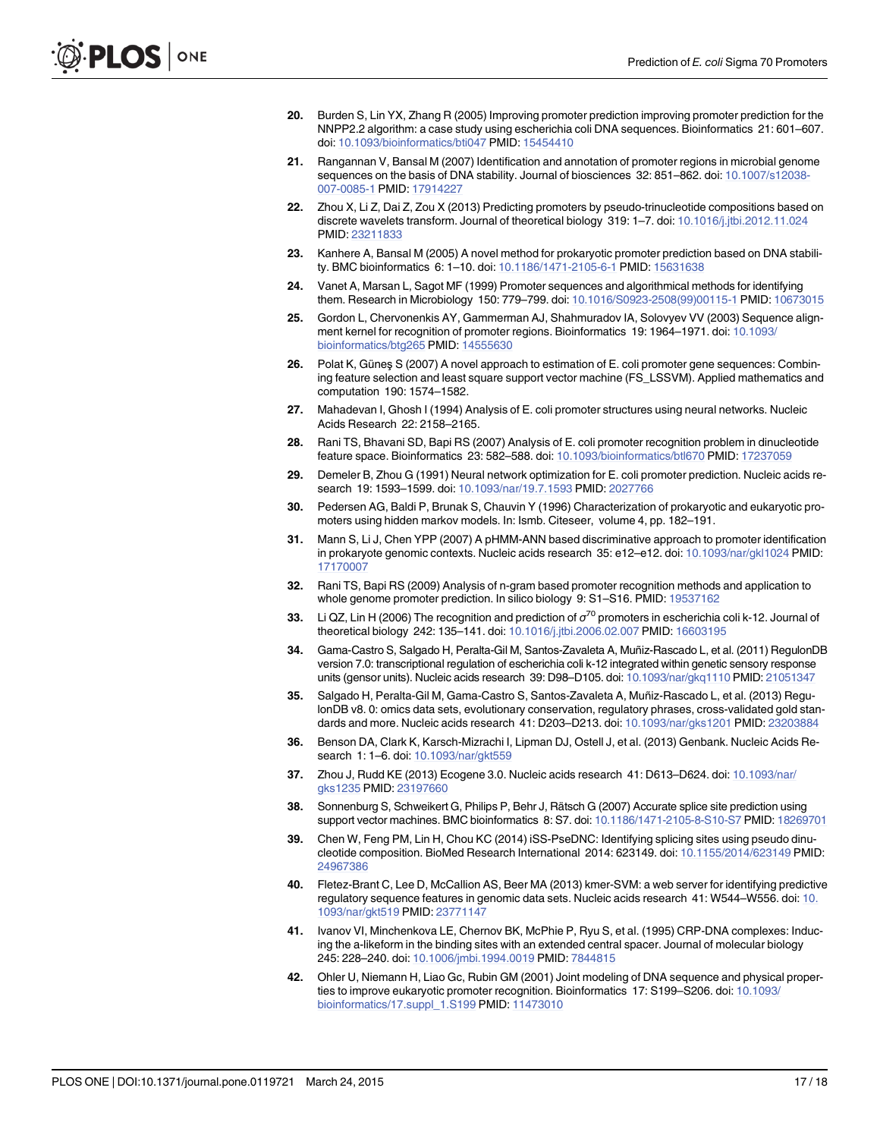- <span id="page-16-0"></span>[20.](#page-1-0) Burden S, Lin YX, Zhang R (2005) Improving promoter prediction improving promoter prediction for the NNPP2.2 algorithm: a case study using escherichia coli DNA sequences. Bioinformatics 21: 601–607. doi: [10.1093/bioinformatics/bti047](http://dx.doi.org/10.1093/bioinformatics/bti047) PMID: [15454410](http://www.ncbi.nlm.nih.gov/pubmed/15454410)
- 21. Rangannan V, Bansal M (2007) Identification and annotation of promoter regions in microbial genome sequences on the basis of DNA stability. Journal of biosciences 32: 851–862. doi: [10.1007/s12038-](http://dx.doi.org/10.1007/s12038-007-0085-1) [007-0085-1](http://dx.doi.org/10.1007/s12038-007-0085-1) PMID: [17914227](http://www.ncbi.nlm.nih.gov/pubmed/17914227)
- 22. Zhou X, Li Z, Dai Z, Zou X (2013) Predicting promoters by pseudo-trinucleotide compositions based on discrete wavelets transform. Journal of theoretical biology 319: 1-7. doi: [10.1016/j.jtbi.2012.11.024](http://dx.doi.org/10.1016/j.jtbi.2012.11.024) PMID: [23211833](http://www.ncbi.nlm.nih.gov/pubmed/23211833)
- [23.](#page-2-0) Kanhere A, Bansal M (2005) A novel method for prokaryotic promoter prediction based on DNA stability. BMC bioinformatics 6: 1–10. doi: [10.1186/1471-2105-6-1](http://dx.doi.org/10.1186/1471-2105-6-1) PMID: [15631638](http://www.ncbi.nlm.nih.gov/pubmed/15631638)
- [24.](#page-1-0) Vanet A, Marsan L, Sagot MF (1999) Promoter sequences and algorithmical methods for identifying them. Research in Microbiology 150: 779–799. doi: [10.1016/S0923-2508\(99\)00115-1](http://dx.doi.org/10.1016/S0923-2508(99)00115-1) PMID: [10673015](http://www.ncbi.nlm.nih.gov/pubmed/10673015)
- [25.](#page-1-0) Gordon L, Chervonenkis AY, Gammerman AJ, Shahmuradov IA, Solovyev VV (2003) Sequence align-ment kernel for recognition of promoter regions. Bioinformatics 19: 1964–1971. doi: [10.1093/](http://dx.doi.org/10.1093/bioinformatics/btg265) [bioinformatics/btg265](http://dx.doi.org/10.1093/bioinformatics/btg265) PMID: [14555630](http://www.ncbi.nlm.nih.gov/pubmed/14555630)
- [26.](#page-1-0) Polat K, Güneş S (2007) A novel approach to estimation of E. coli promoter gene sequences: Combining feature selection and least square support vector machine (FS\_LSSVM). Applied mathematics and computation 190: 1574–1582.
- [27.](#page-1-0) Mahadevan I, Ghosh I (1994) Analysis of E. coli promoter structures using neural networks. Nucleic Acids Research 22: 2158–2165.
- [28.](#page-1-0) Rani TS, Bhavani SD, Bapi RS (2007) Analysis of E. coli promoter recognition problem in dinucleotide feature space. Bioinformatics 23: 582–588. doi: [10.1093/bioinformatics/btl670](http://dx.doi.org/10.1093/bioinformatics/btl670) PMID: [17237059](http://www.ncbi.nlm.nih.gov/pubmed/17237059)
- [29.](#page-1-0) Demeler B, Zhou G (1991) Neural network optimization for E. coli promoter prediction. Nucleic acids research 19: 1593–1599. doi: [10.1093/nar/19.7.1593](http://dx.doi.org/10.1093/nar/19.7.1593) PMID: [2027766](http://www.ncbi.nlm.nih.gov/pubmed/2027766)
- [30.](#page-1-0) Pedersen AG, Baldi P, Brunak S, Chauvin Y (1996) Characterization of prokaryotic and eukaryotic promoters using hidden markov models. In: Ismb. Citeseer, volume 4, pp. 182–191.
- [31.](#page-1-0) Mann S, Li J, Chen YPP (2007) A pHMM-ANN based discriminative approach to promoter identification in prokaryote genomic contexts. Nucleic acids research 35: e12-e12. doi: [10.1093/nar/gkl1024](http://dx.doi.org/10.1093/nar/gkl1024) PMID: [17170007](http://www.ncbi.nlm.nih.gov/pubmed/17170007)
- [32.](#page-1-0) Rani TS, Bapi RS (2009) Analysis of n-gram based promoter recognition methods and application to whole genome promoter prediction. In silico biology 9: S1–S16. PMID: [19537162](http://www.ncbi.nlm.nih.gov/pubmed/19537162)
- [33.](#page-2-0) Li QZ, Lin H (2006) The recognition and prediction of  $\sigma^{70}$  promoters in escherichia coli k-12. Journal of theoretical biology 242: 135–141. doi: [10.1016/j.jtbi.2006.02.007](http://dx.doi.org/10.1016/j.jtbi.2006.02.007) PMID: [16603195](http://www.ncbi.nlm.nih.gov/pubmed/16603195)
- [34.](#page-2-0) Gama-Castro S, Salgado H, Peralta-Gil M, Santos-Zavaleta A, Muñiz-Rascado L, et al. (2011) RegulonDB version 7.0: transcriptional regulation of escherichia coli k-12 integrated within genetic sensory response units (gensor units). Nucleic acids research 39: D98–D105. doi: [10.1093/nar/gkq1110](http://dx.doi.org/10.1093/nar/gkq1110) PMID: [21051347](http://www.ncbi.nlm.nih.gov/pubmed/21051347)
- [35.](#page-2-0) Salgado H, Peralta-Gil M, Gama-Castro S, Santos-Zavaleta A, Muñiz-Rascado L, et al. (2013) RegulonDB v8. 0: omics data sets, evolutionary conservation, regulatory phrases, cross-validated gold standards and more. Nucleic acids research 41: D203–D213. doi: [10.1093/nar/gks1201](http://dx.doi.org/10.1093/nar/gks1201) PMID: [23203884](http://www.ncbi.nlm.nih.gov/pubmed/23203884)
- [36.](#page-2-0) Benson DA, Clark K, Karsch-Mizrachi I, Lipman DJ, Ostell J, et al. (2013) Genbank. Nucleic Acids Research 1: 1–6. doi: [10.1093/nar/gkt559](http://dx.doi.org/10.1093/nar/gkt559)
- [37.](#page-2-0) Zhou J, Rudd KE (2013) Ecogene 3.0. Nucleic acids research 41: D613–D624. doi: [10.1093/nar/](http://dx.doi.org/10.1093/nar/gks1235) [gks1235](http://dx.doi.org/10.1093/nar/gks1235) PMID: [23197660](http://www.ncbi.nlm.nih.gov/pubmed/23197660)
- [38.](#page-3-0) Sonnenburg S, Schweikert G, Philips P, Behr J, Rätsch G (2007) Accurate splice site prediction using support vector machines. BMC bioinformatics 8: S7. doi: [10.1186/1471-2105-8-S10-S7](http://dx.doi.org/10.1186/1471-2105-8-S10-S7) PMID: [18269701](http://www.ncbi.nlm.nih.gov/pubmed/18269701)
- 39. Chen W, Feng PM, Lin H, Chou KC (2014) iSS-PseDNC: Identifying splicing sites using pseudo dinucleotide composition. BioMed Research International 2014: 623149. doi: [10.1155/2014/623149](http://dx.doi.org/10.1155/2014/623149) PMID: [24967386](http://www.ncbi.nlm.nih.gov/pubmed/24967386)
- [40.](#page-3-0) Fletez-Brant C, Lee D, McCallion AS, Beer MA (2013) kmer-SVM: a web server for identifying predictive regulatory sequence features in genomic data sets. Nucleic acids research 41: W544–W556. doi: [10.](http://dx.doi.org/10.1093/nar/gkt519) [1093/nar/gkt519](http://dx.doi.org/10.1093/nar/gkt519) PMID: [23771147](http://www.ncbi.nlm.nih.gov/pubmed/23771147)
- [41.](#page-4-0) Ivanov VI, Minchenkova LE, Chernov BK, McPhie P, Ryu S, et al. (1995) CRP-DNA complexes: Inducing the a-likeform in the binding sites with an extended central spacer. Journal of molecular biology 245: 228–240. doi: [10.1006/jmbi.1994.0019](http://dx.doi.org/10.1006/jmbi.1994.0019) PMID: [7844815](http://www.ncbi.nlm.nih.gov/pubmed/7844815)
- [42.](#page-4-0) Ohler U, Niemann H, Liao Gc, Rubin GM (2001) Joint modeling of DNA sequence and physical properties to improve eukaryotic promoter recognition. Bioinformatics 17: S199–S206. doi: [10.1093/](http://dx.doi.org/10.1093/bioinformatics/17.suppl_1.S199) [bioinformatics/17.suppl\\_1.S199](http://dx.doi.org/10.1093/bioinformatics/17.suppl_1.S199) PMID: [11473010](http://www.ncbi.nlm.nih.gov/pubmed/11473010)